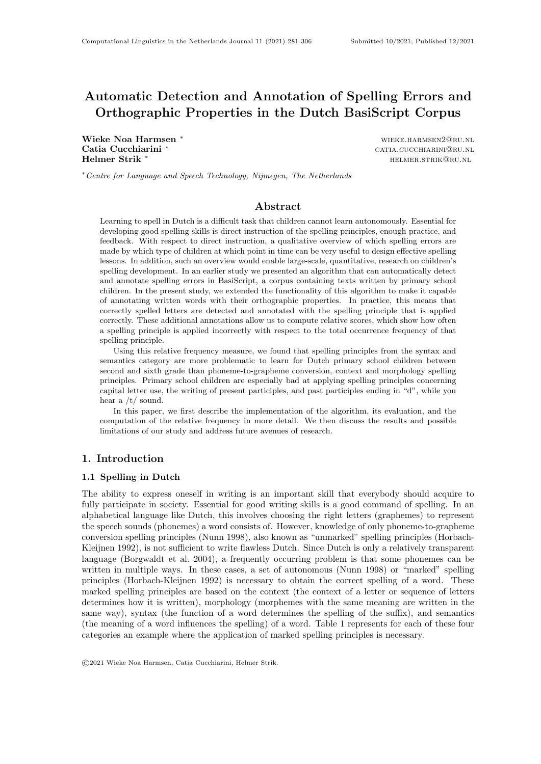# Automatic Detection and Annotation of Spelling Errors and Orthographic Properties in the Dutch BasiScript Corpus

Wieke Noa Harmsen <sup>∗</sup> wieke.harmsen<sup>2@</sup>ru.nl Catia Cucchiarini <sup>\*</sup> catia.cucchiarini \* catia.cucchiarini \* catia.cucchiarini \* catia.cucchiarini \* catia.cucchiarini \* catia.cucchiarini \* catia.cucchiarini \* catia.cucchiarini \* catia.cucchiarini \* catia.cucchiarini \* Helmer Strik <sup>∗</sup> helmer.strik@ru.nl

<sup>∗</sup>Centre for Language and Speech Technology, Nijmegen, The Netherlands

# Abstract

Learning to spell in Dutch is a difficult task that children cannot learn autonomously. Essential for developing good spelling skills is direct instruction of the spelling principles, enough practice, and feedback. With respect to direct instruction, a qualitative overview of which spelling errors are made by which type of children at which point in time can be very useful to design effective spelling lessons. In addition, such an overview would enable large-scale, quantitative, research on children's spelling development. In an earlier study we presented an algorithm that can automatically detect and annotate spelling errors in BasiScript, a corpus containing texts written by primary school children. In the present study, we extended the functionality of this algorithm to make it capable of annotating written words with their orthographic properties. In practice, this means that correctly spelled letters are detected and annotated with the spelling principle that is applied correctly. These additional annotations allow us to compute relative scores, which show how often a spelling principle is applied incorrectly with respect to the total occurrence frequency of that spelling principle.

Using this relative frequency measure, we found that spelling principles from the syntax and semantics category are more problematic to learn for Dutch primary school children between second and sixth grade than phoneme-to-grapheme conversion, context and morphology spelling principles. Primary school children are especially bad at applying spelling principles concerning capital letter use, the writing of present participles, and past participles ending in "d", while you hear a  $/t/$  sound.

In this paper, we first describe the implementation of the algorithm, its evaluation, and the computation of the relative frequency in more detail. We then discuss the results and possible limitations of our study and address future avenues of research.

### 1. Introduction

### 1.1 Spelling in Dutch

The ability to express oneself in writing is an important skill that everybody should acquire to fully participate in society. Essential for good writing skills is a good command of spelling. In an alphabetical language like Dutch, this involves choosing the right letters (graphemes) to represent the speech sounds (phonemes) a word consists of. However, knowledge of only phoneme-to-grapheme conversion spelling principles (Nunn 1998), also known as "unmarked" spelling principles (Horbach-Kleijnen 1992), is not sufficient to write flawless Dutch. Since Dutch is only a relatively transparent language (Borgwaldt et al. 2004), a frequently occurring problem is that some phonemes can be written in multiple ways. In these cases, a set of autonomous (Nunn 1998) or "marked" spelling principles (Horbach-Kleijnen 1992) is necessary to obtain the correct spelling of a word. These marked spelling principles are based on the context (the context of a letter or sequence of letters determines how it is written), morphology (morphemes with the same meaning are written in the same way), syntax (the function of a word determines the spelling of the suffix), and semantics (the meaning of a word influences the spelling) of a word. Table 1 represents for each of these four categories an example where the application of marked spelling principles is necessary.

<sup>©</sup>2021 Wieke Noa Harmsen, Catia Cucchiarini, Helmer Strik.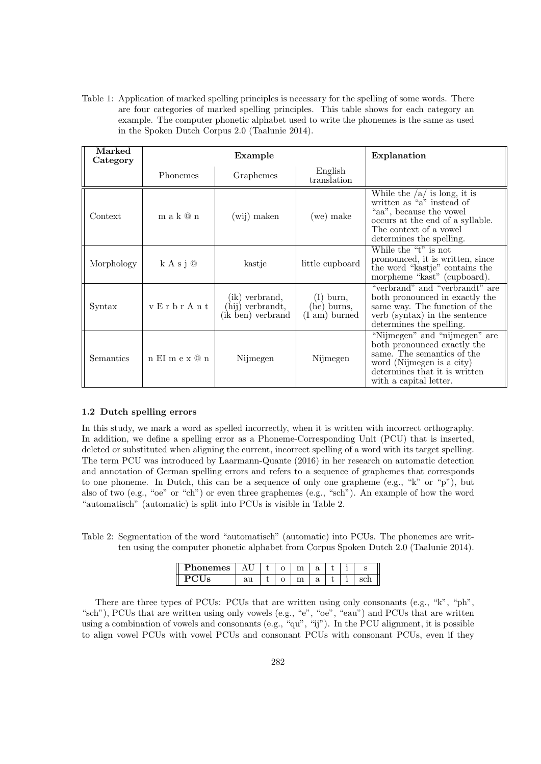Table 1: Application of marked spelling principles is necessary for the spelling of some words. There are four categories of marked spelling principles. This table shows for each category an example. The computer phonetic alphabet used to write the phonemes is the same as used in the Spoken Dutch Corpus 2.0 (Taalunie 2014).

| Marked<br>Category |                   | Example                                                 |                                                       | Explanation                                                                                                                                                                        |
|--------------------|-------------------|---------------------------------------------------------|-------------------------------------------------------|------------------------------------------------------------------------------------------------------------------------------------------------------------------------------------|
|                    | <b>Phonemes</b>   | Graphemes                                               | English<br>translation                                |                                                                                                                                                                                    |
| Context            | m a k @ n         | (wij) maken                                             | (we) make                                             | While the $/a/$ is long, it is<br>written as "a" instead of<br>"aa", because the vowel"<br>occurs at the end of a syllable.<br>The context of a vowel<br>determines the spelling.  |
| Morphology         | k A s j @         | kastje                                                  | little cupboard                                       | While the "t" is not<br>pronounced, it is written, since<br>the word "kastje" contains the<br>morpheme "kast" (cupboard).                                                          |
| Syntax             | v Erbr Ant        | (ik) verbrand,<br>(hij) verbrandt,<br>(ik ben) verbrand | $(I)$ burn,<br>(he) burns,<br>$(I \text{ am})$ burned | "verbrand" and "verbrandt" are<br>both pronounced in exactly the<br>same way. The function of the<br>verb (syntax) in the sentence<br>determines the spelling.                     |
| Semantics          | $n$ EI m e x $@n$ | Nijmegen                                                | Nijmegen                                              | "Nijmegen" and "nijmegen" are<br>both pronounced exactly the<br>same. The semantics of the<br>word (Nijmegen is a city)<br>determines that it is written<br>with a capital letter. |

### 1.2 Dutch spelling errors

In this study, we mark a word as spelled incorrectly, when it is written with incorrect orthography. In addition, we define a spelling error as a Phoneme-Corresponding Unit (PCU) that is inserted, deleted or substituted when aligning the current, incorrect spelling of a word with its target spelling. The term PCU was introduced by Laarmann-Quante (2016) in her research on automatic detection and annotation of German spelling errors and refers to a sequence of graphemes that corresponds to one phoneme. In Dutch, this can be a sequence of only one grapheme (e.g., " $k$ " or "p"), but also of two (e.g., "oe" or "ch") or even three graphemes (e.g., "sch"). An example of how the word "automatisch" (automatic) is split into PCUs is visible in Table 2.

Table 2: Segmentation of the word "automatisch" (automatic) into PCUs. The phonemes are written using the computer phonetic alphabet from Corpus Spoken Dutch 2.0 (Taalunie 2014).

| mog |    | ◡ | ີ             |  |  |
|-----|----|---|---------------|--|--|
|     | wu | ◡ | $\bm{\omega}$ |  |  |

There are three types of PCUs: PCUs that are written using only consonants (e.g., "k", "ph", "sch"), PCUs that are written using only vowels (e.g., "e", "oe", "eau") and PCUs that are written using a combination of vowels and consonants (e.g., "qu", "ij"). In the PCU alignment, it is possible to align vowel PCUs with vowel PCUs and consonant PCUs with consonant PCUs, even if they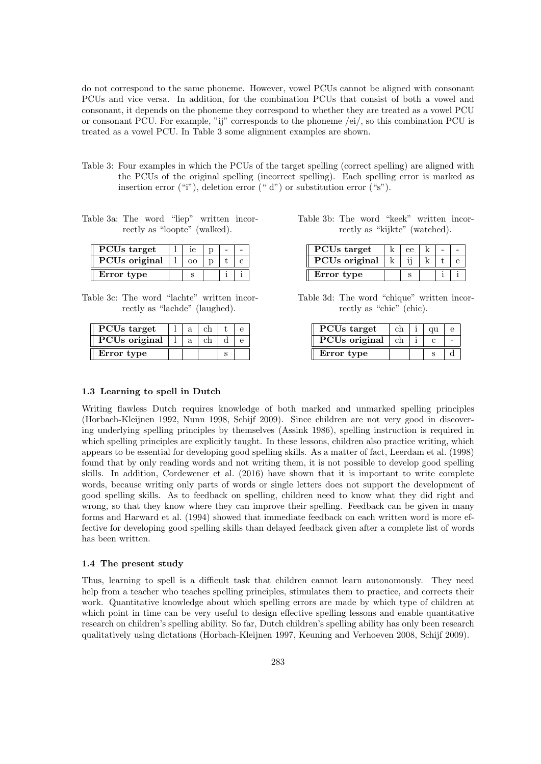do not correspond to the same phoneme. However, vowel PCUs cannot be aligned with consonant PCUs and vice versa. In addition, for the combination PCUs that consist of both a vowel and consonant, it depends on the phoneme they correspond to whether they are treated as a vowel PCU or consonant PCU. For example, "ij" corresponds to the phoneme /ei/, so this combination PCU is treated as a vowel PCU. In Table 3 some alignment examples are shown.

- Table 3: Four examples in which the PCUs of the target spelling (correct spelling) are aligned with the PCUs of the original spelling (incorrect spelling). Each spelling error is marked as insertion error ("i"), deletion error ("d") or substitution error ("s").
- Table 3a: The word "liep" written incorrectly as "loopte" (walked).

| PCU <sub>s</sub> target | ıе |  |  |
|-------------------------|----|--|--|
| <b>PCUs</b> original    | ററ |  |  |
| Error type              |    |  |  |

Table 3c: The word "lachte" written incorrectly as "lachde" (laughed).

| PCU <sub>s</sub> target   |  |  |  |
|---------------------------|--|--|--|
| PCU <sub>s</sub> original |  |  |  |
| Error type                |  |  |  |

Table 3b: The word "keek" written incorrectly as "kijkte" (watched).

| PCU <sub>s</sub> target   | eρ |  |  |
|---------------------------|----|--|--|
| PCU <sub>s</sub> original |    |  |  |
| Error type                |    |  |  |

Table 3d: The word "chique" written incorrectly as "chic" (chic).

| PCU <sub>s</sub> target   | сh | αu |  |
|---------------------------|----|----|--|
| PCU <sub>s</sub> original | ch |    |  |
| Error type                |    |    |  |

### 1.3 Learning to spell in Dutch

Writing flawless Dutch requires knowledge of both marked and unmarked spelling principles (Horbach-Kleijnen 1992, Nunn 1998, Schijf 2009). Since children are not very good in discovering underlying spelling principles by themselves (Assink 1986), spelling instruction is required in which spelling principles are explicitly taught. In these lessons, children also practice writing, which appears to be essential for developing good spelling skills. As a matter of fact, Leerdam et al. (1998) found that by only reading words and not writing them, it is not possible to develop good spelling skills. In addition, Cordewener et al. (2016) have shown that it is important to write complete words, because writing only parts of words or single letters does not support the development of good spelling skills. As to feedback on spelling, children need to know what they did right and wrong, so that they know where they can improve their spelling. Feedback can be given in many forms and Harward et al. (1994) showed that immediate feedback on each written word is more effective for developing good spelling skills than delayed feedback given after a complete list of words has been written.

### 1.4 The present study

Thus, learning to spell is a difficult task that children cannot learn autonomously. They need help from a teacher who teaches spelling principles, stimulates them to practice, and corrects their work. Quantitative knowledge about which spelling errors are made by which type of children at which point in time can be very useful to design effective spelling lessons and enable quantitative research on children's spelling ability. So far, Dutch children's spelling ability has only been research qualitatively using dictations (Horbach-Kleijnen 1997, Keuning and Verhoeven 2008, Schijf 2009).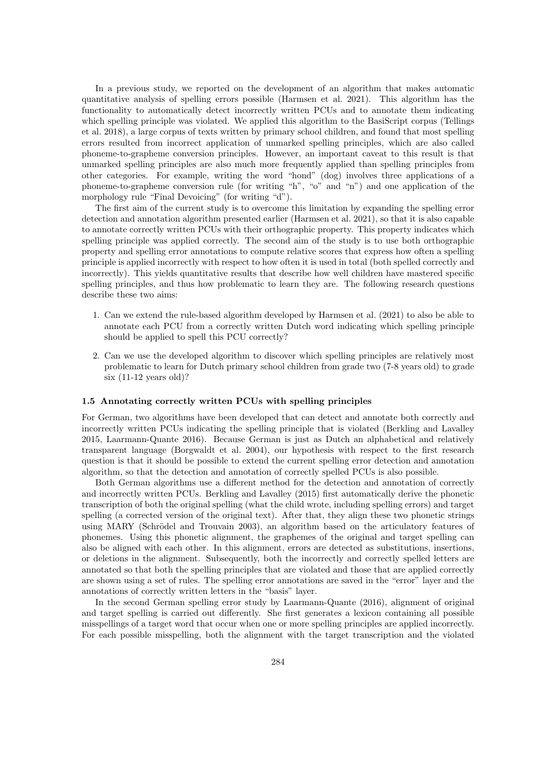In a previous study, we reported on the development of an algorithm that makes automatic quantitative analysis of spelling errors possible (Harmsen et al. 2021). This algorithm has the functionality to automatically detect incorrectly written PCUs and to annotate them indicating which spelling principle was violated. We applied this algorithm to the BasiScript corpus (Tellings et al. 2018), a large corpus of texts written by primary school children, and found that most spelling errors resulted from incorrect application of unmarked spelling principles, which are also called phoneme-to-grapheme conversion principles. However, an important caveat to this result is that unmarked spelling principles are also much more frequently applied than spelling principles from other categories. For example, writing the word "hond" (dog) involves three applications of a phoneme-to-grapheme conversion rule (for writing "h", "o" and "n") and one application of the morphology rule "Final Devoicing" (for writing "d").

The first aim of the current study is to overcome this limitation by expanding the spelling error detection and annotation algorithm presented earlier (Harmsen et al. 2021), so that it is also capable to annotate correctly written PCUs with their orthographic property. This property indicates which spelling principle was applied correctly. The second aim of the study is to use both orthographic property and spelling error annotations to compute relative scores that express how often a spelling principle is applied incorrectly with respect to how often it is used in total (both spelled correctly and incorrectly). This yields quantitative results that describe how well children have mastered specific spelling principles, and thus how problematic to learn they are. The following research questions describe these two aims:

- 1. Can we extend the rule-based algorithm developed by Harmsen et al. (2021) to also be able to annotate each PCU from a correctly written Dutch word indicating which spelling principle should be applied to spell this PCU correctly?
- 2. Can we use the developed algorithm to discover which spelling principles are relatively most problematic to learn for Dutch primary school children from grade two (7-8 years old) to grade six (11-12 years old)?

### 1.5 Annotating correctly written PCUs with spelling principles

For German, two algorithms have been developed that can detect and annotate both correctly and incorrectly written PCUs indicating the spelling principle that is violated (Berkling and Lavalley 2015, Laarmann-Quante 2016). Because German is just as Dutch an alphabetical and relatively transparent language (Borgwaldt et al. 2004), our hypothesis with respect to the first research question is that it should be possible to extend the current spelling error detection and annotation algorithm, so that the detection and annotation of correctly spelled PCUs is also possible.

Both German algorithms use a different method for the detection and annotation of correctly and incorrectly written PCUs. Berkling and Lavalley (2015) first automatically derive the phonetic transcription of both the original spelling (what the child wrote, including spelling errors) and target spelling (a corrected version of the original text). After that, they align these two phonetic strings using MARY (Schrödel and Trouvain 2003), an algorithm based on the articulatory features of phonemes. Using this phonetic alignment, the graphemes of the original and target spelling can also be aligned with each other. In this alignment, errors are detected as substitutions, insertions, or deletions in the alignment. Subsequently, both the incorrectly and correctly spelled letters are annotated so that both the spelling principles that are violated and those that are applied correctly are shown using a set of rules. The spelling error annotations are saved in the "error" layer and the annotations of correctly written letters in the "basis" layer.

In the second German spelling error study by Laarmann-Quante (2016), alignment of original and target spelling is carried out differently. She first generates a lexicon containing all possible misspellings of a target word that occur when one or more spelling principles are applied incorrectly. For each possible misspelling, both the alignment with the target transcription and the violated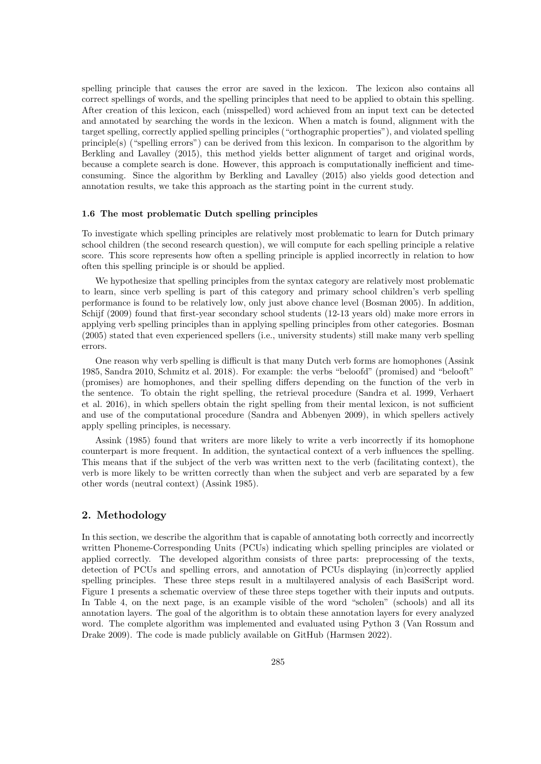spelling principle that causes the error are saved in the lexicon. The lexicon also contains all correct spellings of words, and the spelling principles that need to be applied to obtain this spelling. After creation of this lexicon, each (misspelled) word achieved from an input text can be detected and annotated by searching the words in the lexicon. When a match is found, alignment with the target spelling, correctly applied spelling principles ("orthographic properties"), and violated spelling principle(s) ("spelling errors") can be derived from this lexicon. In comparison to the algorithm by Berkling and Lavalley (2015), this method yields better alignment of target and original words, because a complete search is done. However, this approach is computationally inefficient and timeconsuming. Since the algorithm by Berkling and Lavalley (2015) also yields good detection and annotation results, we take this approach as the starting point in the current study.

### 1.6 The most problematic Dutch spelling principles

To investigate which spelling principles are relatively most problematic to learn for Dutch primary school children (the second research question), we will compute for each spelling principle a relative score. This score represents how often a spelling principle is applied incorrectly in relation to how often this spelling principle is or should be applied.

We hypothesize that spelling principles from the syntax category are relatively most problematic to learn, since verb spelling is part of this category and primary school children's verb spelling performance is found to be relatively low, only just above chance level (Bosman 2005). In addition, Schijf (2009) found that first-year secondary school students (12-13 years old) make more errors in applying verb spelling principles than in applying spelling principles from other categories. Bosman (2005) stated that even experienced spellers (i.e., university students) still make many verb spelling errors.

One reason why verb spelling is difficult is that many Dutch verb forms are homophones (Assink 1985, Sandra 2010, Schmitz et al. 2018). For example: the verbs "beloofd" (promised) and "belooft" (promises) are homophones, and their spelling differs depending on the function of the verb in the sentence. To obtain the right spelling, the retrieval procedure (Sandra et al. 1999, Verhaert et al. 2016), in which spellers obtain the right spelling from their mental lexicon, is not sufficient and use of the computational procedure (Sandra and Abbenyen 2009), in which spellers actively apply spelling principles, is necessary.

Assink (1985) found that writers are more likely to write a verb incorrectly if its homophone counterpart is more frequent. In addition, the syntactical context of a verb influences the spelling. This means that if the subject of the verb was written next to the verb (facilitating context), the verb is more likely to be written correctly than when the subject and verb are separated by a few other words (neutral context) (Assink 1985).

### 2. Methodology

In this section, we describe the algorithm that is capable of annotating both correctly and incorrectly written Phoneme-Corresponding Units (PCUs) indicating which spelling principles are violated or applied correctly. The developed algorithm consists of three parts: preprocessing of the texts, detection of PCUs and spelling errors, and annotation of PCUs displaying (in)correctly applied spelling principles. These three steps result in a multilayered analysis of each BasiScript word. Figure 1 presents a schematic overview of these three steps together with their inputs and outputs. In Table 4, on the next page, is an example visible of the word "scholen" (schools) and all its annotation layers. The goal of the algorithm is to obtain these annotation layers for every analyzed word. The complete algorithm was implemented and evaluated using Python 3 (Van Rossum and Drake 2009). The code is made publicly available on GitHub (Harmsen 2022).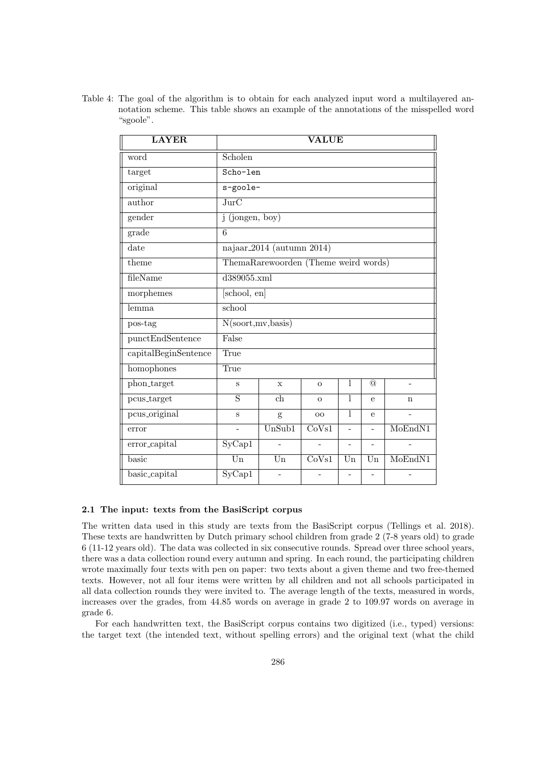Table 4: The goal of the algorithm is to obtain for each analyzed input word a multilayered annotation scheme. This table shows an example of the annotations of the misspelled word "sgoole".

| <b>LAYER</b>                | <b>VALUE</b>                                  |                                       |                |                |                |         |  |
|-----------------------------|-----------------------------------------------|---------------------------------------|----------------|----------------|----------------|---------|--|
| word                        | Scholen                                       |                                       |                |                |                |         |  |
| target                      | Scho-len                                      |                                       |                |                |                |         |  |
| original                    | s-goole-                                      |                                       |                |                |                |         |  |
| author                      | $\overline{\text{JurC}}$                      |                                       |                |                |                |         |  |
| $\sqrt{\text{gender}}$      | $j$ (jongen, boy)                             |                                       |                |                |                |         |  |
| grade                       | 6                                             |                                       |                |                |                |         |  |
| $\overline{\text{date}}$    |                                               | najaar <sub>-2014</sub> (autumn 2014) |                |                |                |         |  |
| theme                       |                                               | ThemaRarewoorden (Theme weird words)  |                |                |                |         |  |
| fileName                    | $\overline{d389055.xml}$                      |                                       |                |                |                |         |  |
| morphemes                   | [school, en]                                  |                                       |                |                |                |         |  |
| lemma                       | school                                        |                                       |                |                |                |         |  |
| pos-tag                     | N(sport,mv, basis)                            |                                       |                |                |                |         |  |
| $punctEnd\textbf{Sentence}$ | False                                         |                                       |                |                |                |         |  |
| capitalBeginSentence        | True                                          |                                       |                |                |                |         |  |
| homophones                  | True                                          |                                       |                |                |                |         |  |
| phon_target                 | $\rm S$                                       | $\mathbf x$                           | $\overline{O}$ | 1              | $\circledcirc$ |         |  |
| pcus_target                 | S                                             | ch                                    | $\Omega$       | 1              | $\theta$       | n       |  |
| pcus_original               | S                                             | g                                     | O <sub>O</sub> | 1              | e              |         |  |
| error                       | $\overline{UnSub1}$<br>MoEndN1<br>CoVs1<br>L. |                                       |                |                |                |         |  |
| error_capital               | SyCap1                                        |                                       |                | $\overline{a}$ |                |         |  |
| basic                       | $\overline{\text{Un}}$                        | $\overline{\text{Un}}$                | CoVs1          | Un             | Un             | MoEndN1 |  |
| basic_capital               | SyCap1                                        |                                       |                |                |                |         |  |

### 2.1 The input: texts from the BasiScript corpus

The written data used in this study are texts from the BasiScript corpus (Tellings et al. 2018). These texts are handwritten by Dutch primary school children from grade 2 (7-8 years old) to grade 6 (11-12 years old). The data was collected in six consecutive rounds. Spread over three school years, there was a data collection round every autumn and spring. In each round, the participating children wrote maximally four texts with pen on paper: two texts about a given theme and two free-themed texts. However, not all four items were written by all children and not all schools participated in all data collection rounds they were invited to. The average length of the texts, measured in words, increases over the grades, from 44.85 words on average in grade 2 to 109.97 words on average in grade 6.

For each handwritten text, the BasiScript corpus contains two digitized (i.e., typed) versions: the target text (the intended text, without spelling errors) and the original text (what the child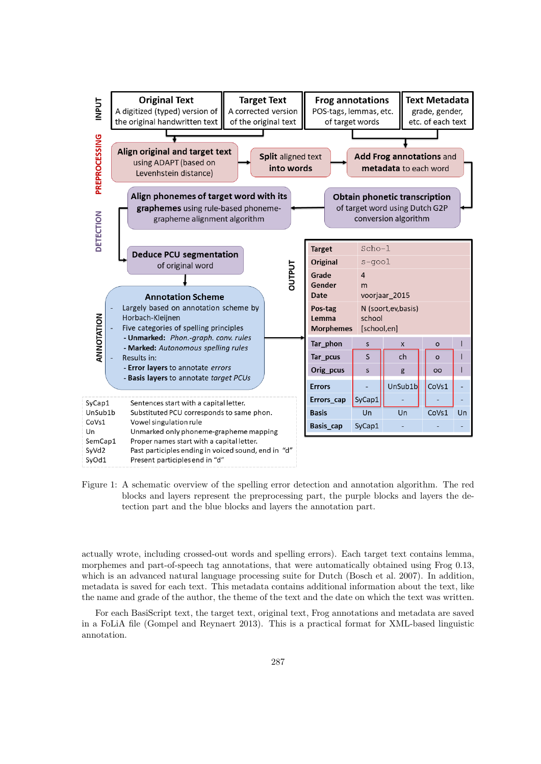

Figure 1: A schematic overview of the spelling error detection and annotation algorithm. The red blocks and layers represent the preprocessing part, the purple blocks and layers the detection part and the blue blocks and layers the annotation part.

actually wrote, including crossed-out words and spelling errors). Each target text contains lemma, morphemes and part-of-speech tag annotations, that were automatically obtained using Frog 0.13, which is an advanced natural language processing suite for Dutch (Bosch et al. 2007). In addition, metadata is saved for each text. This metadata contains additional information about the text, like the name and grade of the author, the theme of the text and the date on which the text was written.

For each BasiScript text, the target text, original text, Frog annotations and metadata are saved in a FoLiA file (Gompel and Reynaert 2013). This is a practical format for XML-based linguistic annotation.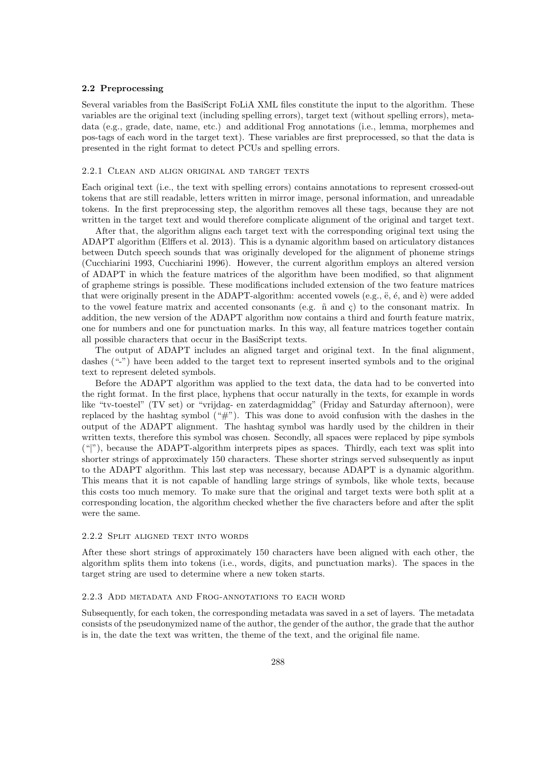### 2.2 Preprocessing

Several variables from the BasiScript FoLiA XML files constitute the input to the algorithm. These variables are the original text (including spelling errors), target text (without spelling errors), metadata (e.g., grade, date, name, etc.) and additional Frog annotations (i.e., lemma, morphemes and pos-tags of each word in the target text). These variables are first preprocessed, so that the data is presented in the right format to detect PCUs and spelling errors.

### 2.2.1 Clean and align original and target texts

Each original text (i.e., the text with spelling errors) contains annotations to represent crossed-out tokens that are still readable, letters written in mirror image, personal information, and unreadable tokens. In the first preprocessing step, the algorithm removes all these tags, because they are not written in the target text and would therefore complicate alignment of the original and target text.

After that, the algorithm aligns each target text with the corresponding original text using the ADAPT algorithm (Elffers et al. 2013). This is a dynamic algorithm based on articulatory distances between Dutch speech sounds that was originally developed for the alignment of phoneme strings (Cucchiarini 1993, Cucchiarini 1996). However, the current algorithm employs an altered version of ADAPT in which the feature matrices of the algorithm have been modified, so that alignment of grapheme strings is possible. These modifications included extension of the two feature matrices that were originally present in the ADAPT-algorithm: accented vowels (e.g.,  $\ddot{e}$ ,  $\ddot{e}$ , and  $\dot{e}$ ) were added to the vowel feature matrix and accented consonants (e.g.  $\tilde{n}$  and  $\tilde{c}$ ) to the consonant matrix. In addition, the new version of the ADAPT algorithm now contains a third and fourth feature matrix, one for numbers and one for punctuation marks. In this way, all feature matrices together contain all possible characters that occur in the BasiScript texts.

The output of ADAPT includes an aligned target and original text. In the final alignment, dashes ("-") have been added to the target text to represent inserted symbols and to the original text to represent deleted symbols.

Before the ADAPT algorithm was applied to the text data, the data had to be converted into the right format. In the first place, hyphens that occur naturally in the texts, for example in words like "tv-toestel" (TV set) or "vrijdag- en zaterdagmiddag" (Friday and Saturday afternoon), were replaced by the hashtag symbol  $(*\#")$ . This was done to avoid confusion with the dashes in the output of the ADAPT alignment. The hashtag symbol was hardly used by the children in their written texts, therefore this symbol was chosen. Secondly, all spaces were replaced by pipe symbols ("|"), because the ADAPT-algorithm interprets pipes as spaces. Thirdly, each text was split into shorter strings of approximately 150 characters. These shorter strings served subsequently as input to the ADAPT algorithm. This last step was necessary, because ADAPT is a dynamic algorithm. This means that it is not capable of handling large strings of symbols, like whole texts, because this costs too much memory. To make sure that the original and target texts were both split at a corresponding location, the algorithm checked whether the five characters before and after the split were the same.

### 2.2.2 Split aligned text into words

After these short strings of approximately 150 characters have been aligned with each other, the algorithm splits them into tokens (i.e., words, digits, and punctuation marks). The spaces in the target string are used to determine where a new token starts.

#### 2.2.3 Add metadata and Frog-annotations to each word

Subsequently, for each token, the corresponding metadata was saved in a set of layers. The metadata consists of the pseudonymized name of the author, the gender of the author, the grade that the author is in, the date the text was written, the theme of the text, and the original file name.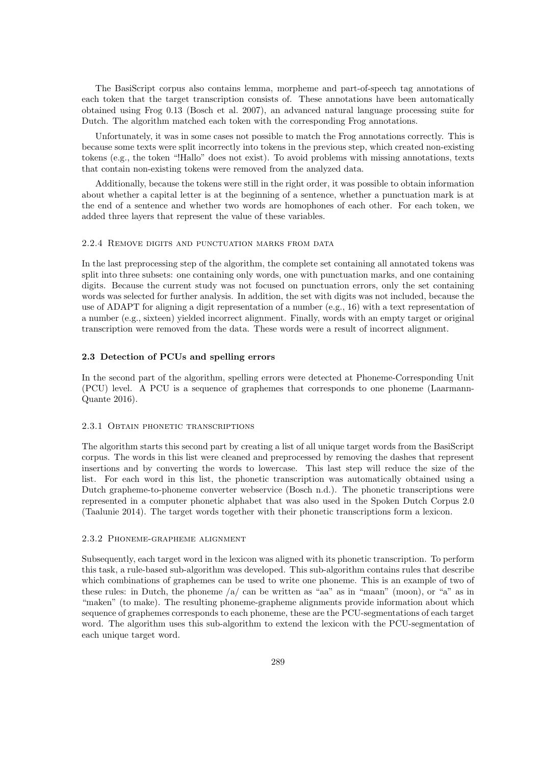The BasiScript corpus also contains lemma, morpheme and part-of-speech tag annotations of each token that the target transcription consists of. These annotations have been automatically obtained using Frog 0.13 (Bosch et al. 2007), an advanced natural language processing suite for Dutch. The algorithm matched each token with the corresponding Frog annotations.

Unfortunately, it was in some cases not possible to match the Frog annotations correctly. This is because some texts were split incorrectly into tokens in the previous step, which created non-existing tokens (e.g., the token "!Hallo" does not exist). To avoid problems with missing annotations, texts that contain non-existing tokens were removed from the analyzed data.

Additionally, because the tokens were still in the right order, it was possible to obtain information about whether a capital letter is at the beginning of a sentence, whether a punctuation mark is at the end of a sentence and whether two words are homophones of each other. For each token, we added three layers that represent the value of these variables.

### 2.2.4 Remove digits and punctuation marks from data

In the last preprocessing step of the algorithm, the complete set containing all annotated tokens was split into three subsets: one containing only words, one with punctuation marks, and one containing digits. Because the current study was not focused on punctuation errors, only the set containing words was selected for further analysis. In addition, the set with digits was not included, because the use of ADAPT for aligning a digit representation of a number (e.g., 16) with a text representation of a number (e.g., sixteen) yielded incorrect alignment. Finally, words with an empty target or original transcription were removed from the data. These words were a result of incorrect alignment.

### 2.3 Detection of PCUs and spelling errors

In the second part of the algorithm, spelling errors were detected at Phoneme-Corresponding Unit (PCU) level. A PCU is a sequence of graphemes that corresponds to one phoneme (Laarmann-Quante 2016).

### 2.3.1 Obtain phonetic transcriptions

The algorithm starts this second part by creating a list of all unique target words from the BasiScript corpus. The words in this list were cleaned and preprocessed by removing the dashes that represent insertions and by converting the words to lowercase. This last step will reduce the size of the list. For each word in this list, the phonetic transcription was automatically obtained using a Dutch grapheme-to-phoneme converter webservice (Bosch n.d.). The phonetic transcriptions were represented in a computer phonetic alphabet that was also used in the Spoken Dutch Corpus 2.0 (Taalunie 2014). The target words together with their phonetic transcriptions form a lexicon.

### 2.3.2 Phoneme-grapheme alignment

Subsequently, each target word in the lexicon was aligned with its phonetic transcription. To perform this task, a rule-based sub-algorithm was developed. This sub-algorithm contains rules that describe which combinations of graphemes can be used to write one phoneme. This is an example of two of these rules: in Dutch, the phoneme /a/ can be written as "aa" as in "maan" (moon), or "a" as in "maken" (to make). The resulting phoneme-grapheme alignments provide information about which sequence of graphemes corresponds to each phoneme, these are the PCU-segmentations of each target word. The algorithm uses this sub-algorithm to extend the lexicon with the PCU-segmentation of each unique target word.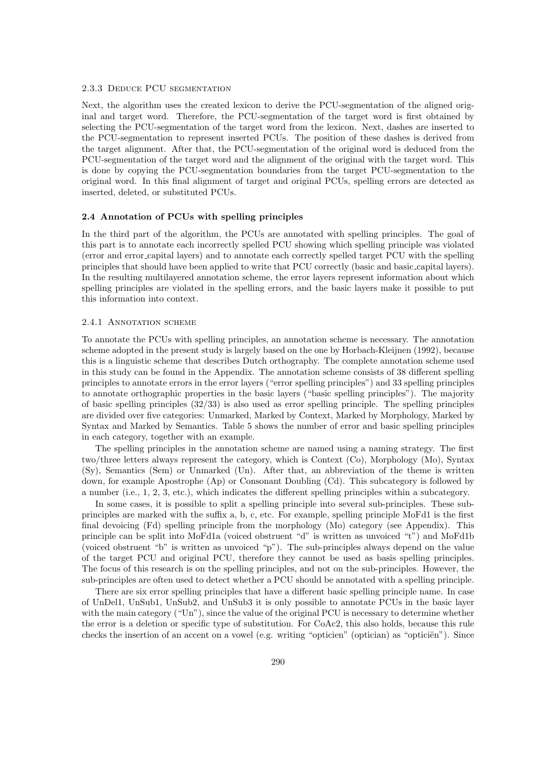### 2.3.3 Deduce PCU segmentation

Next, the algorithm uses the created lexicon to derive the PCU-segmentation of the aligned original and target word. Therefore, the PCU-segmentation of the target word is first obtained by selecting the PCU-segmentation of the target word from the lexicon. Next, dashes are inserted to the PCU-segmentation to represent inserted PCUs. The position of these dashes is derived from the target alignment. After that, the PCU-segmentation of the original word is deduced from the PCU-segmentation of the target word and the alignment of the original with the target word. This is done by copying the PCU-segmentation boundaries from the target PCU-segmentation to the original word. In this final alignment of target and original PCUs, spelling errors are detected as inserted, deleted, or substituted PCUs.

### 2.4 Annotation of PCUs with spelling principles

In the third part of the algorithm, the PCUs are annotated with spelling principles. The goal of this part is to annotate each incorrectly spelled PCU showing which spelling principle was violated (error and error capital layers) and to annotate each correctly spelled target PCU with the spelling principles that should have been applied to write that PCU correctly (basic and basic capital layers). In the resulting multilayered annotation scheme, the error layers represent information about which spelling principles are violated in the spelling errors, and the basic layers make it possible to put this information into context.

### 2.4.1 ANNOTATION SCHEME

To annotate the PCUs with spelling principles, an annotation scheme is necessary. The annotation scheme adopted in the present study is largely based on the one by Horbach-Kleijnen (1992), because this is a linguistic scheme that describes Dutch orthography. The complete annotation scheme used in this study can be found in the Appendix. The annotation scheme consists of 38 different spelling principles to annotate errors in the error layers ("error spelling principles") and 33 spelling principles to annotate orthographic properties in the basic layers ("basic spelling principles"). The majority of basic spelling principles (32/33) is also used as error spelling principle. The spelling principles are divided over five categories: Unmarked, Marked by Context, Marked by Morphology, Marked by Syntax and Marked by Semantics. Table 5 shows the number of error and basic spelling principles in each category, together with an example.

The spelling principles in the annotation scheme are named using a naming strategy. The first two/three letters always represent the category, which is Context (Co), Morphology (Mo), Syntax (Sy), Semantics (Sem) or Unmarked (Un). After that, an abbreviation of the theme is written down, for example Apostrophe (Ap) or Consonant Doubling (Cd). This subcategory is followed by a number (i.e., 1, 2, 3, etc.), which indicates the different spelling principles within a subcategory.

In some cases, it is possible to split a spelling principle into several sub-principles. These subprinciples are marked with the suffix a, b, c, etc. For example, spelling principle MoFd1 is the first final devoicing (Fd) spelling principle from the morphology (Mo) category (see Appendix). This principle can be split into MoFd1a (voiced obstruent "d" is written as unvoiced "t") and MoFd1b (voiced obstruent "b" is written as unvoiced "p"). The sub-principles always depend on the value of the target PCU and original PCU, therefore they cannot be used as basis spelling principles. The focus of this research is on the spelling principles, and not on the sub-principles. However, the sub-principles are often used to detect whether a PCU should be annotated with a spelling principle.

There are six error spelling principles that have a different basic spelling principle name. In case of UnDel1, UnSub1, UnSub2, and UnSub3 it is only possible to annotate PCUs in the basic layer with the main category ("Un"), since the value of the original PCU is necessary to determine whether the error is a deletion or specific type of substitution. For CoAc2, this also holds, because this rule checks the insertion of an accent on a vowel (e.g. writing "opticien" (optician) as "opticien"). Since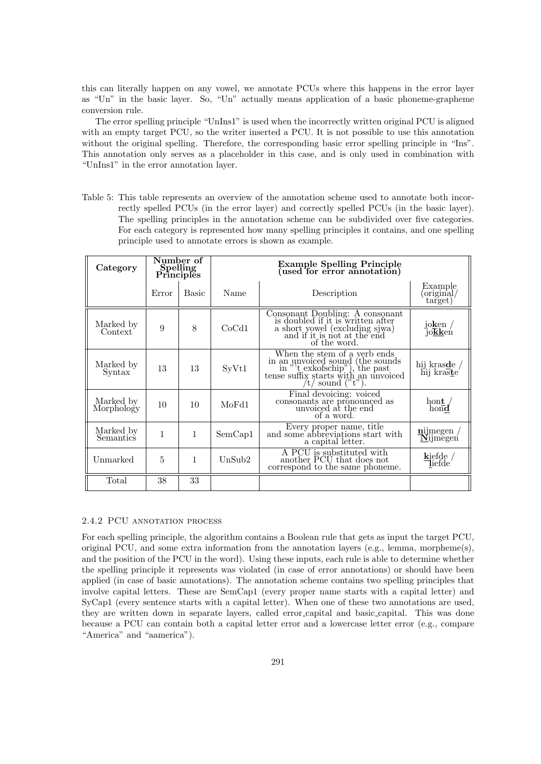this can literally happen on any vowel, we annotate PCUs where this happens in the error layer as "Un" in the basic layer. So, "Un" actually means application of a basic phoneme-grapheme conversion rule.

The error spelling principle "UnIns1" is used when the incorrectly written original PCU is aligned with an empty target PCU, so the writer inserted a PCU. It is not possible to use this annotation without the original spelling. Therefore, the corresponding basic error spelling principle in "Ins". This annotation only serves as a placeholder in this case, and is only used in combination with "UnIns1" in the error annotation layer.

Table 5: This table represents an overview of the annotation scheme used to annotate both incorrectly spelled PCUs (in the error layer) and correctly spelled PCUs (in the basic layer). The spelling principles in the annotation scheme can be subdivided over five categories. For each category is represented how many spelling principles it contains, and one spelling principle used to annotate errors is shown as example.

| Category                | Number of<br>Spelling<br><b>Principles</b> |              |                    | <b>Example Spelling Principle</b><br>(used for error annotation)                                                                                                     |                                                                                                                                        |
|-------------------------|--------------------------------------------|--------------|--------------------|----------------------------------------------------------------------------------------------------------------------------------------------------------------------|----------------------------------------------------------------------------------------------------------------------------------------|
|                         | Error                                      | <b>Basic</b> | Name               | Description                                                                                                                                                          | Example<br>original/<br>target)                                                                                                        |
| Marked by<br>Context    | 9                                          | 8            | CoCd1              | Consonant Doubling: A consonant<br>is doubled if it is written after<br>a short yowel (excluding sjwa)<br>and if it is not at the end<br>of the word.                | $\frac{\mathrm{j}\mathrm{o}\mathbf{k} \mathrm{e}\mathrm{n}}{\mathrm{j}\mathrm{o}\mathbf{\overline{k}}\mathbf{k} \mathrm{e}\mathrm{n}}$ |
| Marked by<br>Syntax     | 13                                         | 13           | S <sub>Y</sub> Vt1 | When the stem of a yerb ends<br>in an unvoiced sound (the sounds<br>in "t exkofschip"), the past<br>tense suffix starts with an unvoiced<br>$\prime$ t/ sound ("t"). | hij kras $de/h$ ij kras $te$                                                                                                           |
| Marked by<br>Morphology | 10                                         | 10           | MoFd1              | Final devoicing: voiced.<br>consonants are pronounced as<br>unvoiced at the end<br>of a word.                                                                        | hont<br>$h$ ond                                                                                                                        |
| Marked by<br>Semantics  | 1                                          | $\mathbf{1}$ | SemCap1            | Every proper name, title<br>and some abbreviations start with<br>a capital letter.                                                                                   | $\frac{\text{mijmegen}}{\text{Nijmegen}}$                                                                                              |
| Unmarked                | 5                                          | 1            | UnSub2             | A PCU is substituted with<br>another PCU that does not<br>correspond to the same phoneme.                                                                            | $\frac{\text{kiefde}}{\text{liefde}}/$                                                                                                 |
| Total                   | 38                                         | 33           |                    |                                                                                                                                                                      |                                                                                                                                        |

### 2.4.2 PCU annotation process

For each spelling principle, the algorithm contains a Boolean rule that gets as input the target PCU, original PCU, and some extra information from the annotation layers (e.g., lemma, morpheme(s), and the position of the PCU in the word). Using these inputs, each rule is able to determine whether the spelling principle it represents was violated (in case of error annotations) or should have been applied (in case of basic annotations). The annotation scheme contains two spelling principles that involve capital letters. These are SemCap1 (every proper name starts with a capital letter) and SyCap1 (every sentence starts with a capital letter). When one of these two annotations are used, they are written down in separate layers, called error capital and basic capital. This was done because a PCU can contain both a capital letter error and a lowercase letter error (e.g., compare "America" and "aamerica").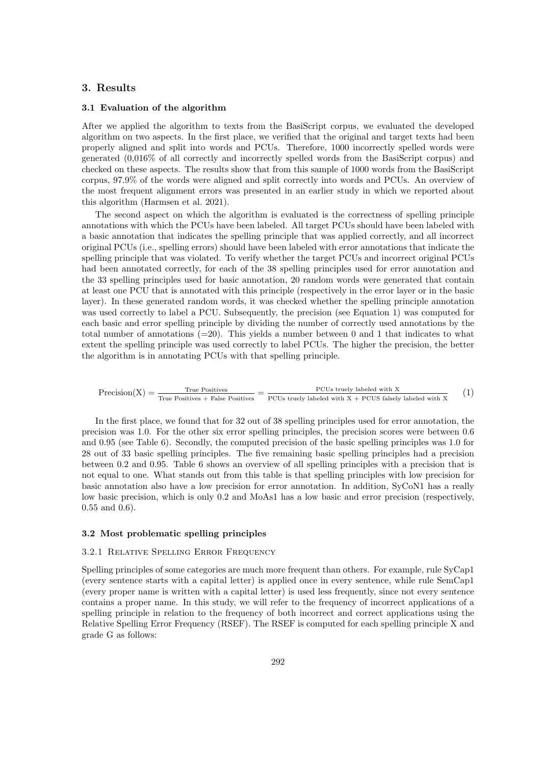# 3. Results

### 3.1 Evaluation of the algorithm

After we applied the algorithm to texts from the BasiScript corpus, we evaluated the developed algorithm on two aspects. In the first place, we verified that the original and target texts had been properly aligned and split into words and PCUs. Therefore, 1000 incorrectly spelled words were generated (0,016% of all correctly and incorrectly spelled words from the BasiScript corpus) and checked on these aspects. The results show that from this sample of 1000 words from the BasiScript corpus, 97.9% of the words were aligned and split correctly into words and PCUs. An overview of the most frequent alignment errors was presented in an earlier study in which we reported about this algorithm (Harmsen et al. 2021).

The second aspect on which the algorithm is evaluated is the correctness of spelling principle annotations with which the PCUs have been labeled. All target PCUs should have been labeled with a basic annotation that indicates the spelling principle that was applied correctly, and all incorrect original PCUs (i.e., spelling errors) should have been labeled with error annotations that indicate the spelling principle that was violated. To verify whether the target PCUs and incorrect original PCUs had been annotated correctly, for each of the 38 spelling principles used for error annotation and the 33 spelling principles used for basic annotation, 20 random words were generated that contain at least one PCU that is annotated with this principle (respectively in the error layer or in the basic layer). In these generated random words, it was checked whether the spelling principle annotation was used correctly to label a PCU. Subsequently, the precision (see Equation 1) was computed for each basic and error spelling principle by dividing the number of correctly used annotations by the total number of annotations  $(=20)$ . This yields a number between 0 and 1 that indicates to what extent the spelling principle was used correctly to label PCUs. The higher the precision, the better the algorithm is in annotating PCUs with that spelling principle.

$$
Precision(X) = \frac{True \; Positive}{True \; Positives \; + \; False \; Positives} = \frac{PCUs \; truely \; labeled \; with \; X}{PCUs \; truely \; labeled \; with \; X \; + \; PCUS \; falsely \; labeled \; with \; X} \qquad (1)
$$

In the first place, we found that for 32 out of 38 spelling principles used for error annotation, the precision was 1.0. For the other six error spelling principles, the precision scores were between 0.6 and 0.95 (see Table 6). Secondly, the computed precision of the basic spelling principles was 1.0 for 28 out of 33 basic spelling principles. The five remaining basic spelling principles had a precision between 0.2 and 0.95. Table 6 shows an overview of all spelling principles with a precision that is not equal to one. What stands out from this table is that spelling principles with low precision for basic annotation also have a low precision for error annotation. In addition, SyCoN1 has a really low basic precision, which is only 0.2 and MoAs1 has a low basic and error precision (respectively, 0.55 and 0.6).

### 3.2 Most problematic spelling principles

#### 3.2.1 RELATIVE SPELLING ERROR FREQUENCY

Spelling principles of some categories are much more frequent than others. For example, rule SyCap1 (every sentence starts with a capital letter) is applied once in every sentence, while rule SemCap1 (every proper name is written with a capital letter) is used less frequently, since not every sentence contains a proper name. In this study, we will refer to the frequency of incorrect applications of a spelling principle in relation to the frequency of both incorrect and correct applications using the Relative Spelling Error Frequency (RSEF). The RSEF is computed for each spelling principle X and grade G as follows: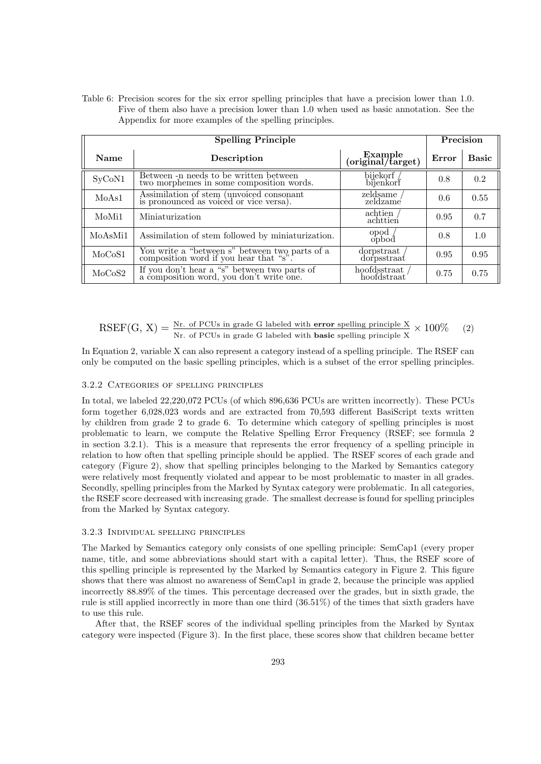Table 6: Precision scores for the six error spelling principles that have a precision lower than 1.0. Five of them also have a precision lower than 1.0 when used as basic annotation. See the Appendix for more examples of the spelling principles.

|                    |                                                                                       | Precision                    |       |              |
|--------------------|---------------------------------------------------------------------------------------|------------------------------|-------|--------------|
| <b>Name</b>        | Description                                                                           | Example<br>(original/target) | Error | <b>Basic</b> |
| SyCoN1             | Between -n needs to be written between<br>two morphemes in some composition words.    | bijekorf /<br>bijenkorf      | 0.8   | 0.2          |
| MoAs1              | Assimilation of stem (unvoiced consonant<br>is pronounced as voiced or vice versa).   | zeldsame<br>zeldzame         | 0.6   | 0.55         |
| MoM <sub>i</sub> 1 | Miniaturization                                                                       | achtien<br>achttien          | 0.95  | 0.7          |
| MoAsMi1            | Assimilation of stem followed by miniaturization.                                     | opod<br>opbod                | 0.8   | 1.0          |
| MoCoS1             | You write a "between s" between two parts of a composition word if you hear that "s". | dorpstraat<br>dorpsstraat    | 0.95  | 0.95         |
| MoCoS2             | If you don't hear a "s" between two parts of a composition word, you don't write one. | hoofdsstraat<br>hoofdstraat  | 0.75  | 0.75         |

 $RSEF(G, X) = \frac{Nr.$  of PCUs in grade G labeled with **error** spelling principle  $X \times 100\%$  (2)

In Equation 2, variable X can also represent a category instead of a spelling principle. The RSEF can only be computed on the basic spelling principles, which is a subset of the error spelling principles.

### 3.2.2 Categories of spelling principles

In total, we labeled 22,220,072 PCUs (of which 896,636 PCUs are written incorrectly). These PCUs form together 6,028,023 words and are extracted from 70,593 different BasiScript texts written by children from grade 2 to grade 6. To determine which category of spelling principles is most problematic to learn, we compute the Relative Spelling Error Frequency (RSEF; see formula 2 in section 3.2.1). This is a measure that represents the error frequency of a spelling principle in relation to how often that spelling principle should be applied. The RSEF scores of each grade and category (Figure 2), show that spelling principles belonging to the Marked by Semantics category were relatively most frequently violated and appear to be most problematic to master in all grades. Secondly, spelling principles from the Marked by Syntax category were problematic. In all categories, the RSEF score decreased with increasing grade. The smallest decrease is found for spelling principles from the Marked by Syntax category.

### 3.2.3 Individual spelling principles

The Marked by Semantics category only consists of one spelling principle: SemCap1 (every proper name, title, and some abbreviations should start with a capital letter). Thus, the RSEF score of this spelling principle is represented by the Marked by Semantics category in Figure 2. This figure shows that there was almost no awareness of SemCap1 in grade 2, because the principle was applied incorrectly 88.89% of the times. This percentage decreased over the grades, but in sixth grade, the rule is still applied incorrectly in more than one third (36.51%) of the times that sixth graders have to use this rule.

After that, the RSEF scores of the individual spelling principles from the Marked by Syntax category were inspected (Figure 3). In the first place, these scores show that children became better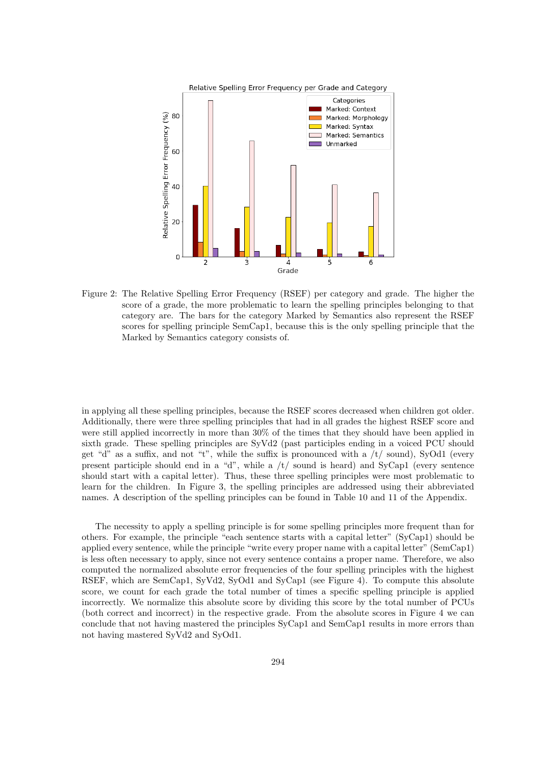

Figure 2: The Relative Spelling Error Frequency (RSEF) per category and grade. The higher the score of a grade, the more problematic to learn the spelling principles belonging to that category are. The bars for the category Marked by Semantics also represent the RSEF scores for spelling principle SemCap1, because this is the only spelling principle that the Marked by Semantics category consists of.

in applying all these spelling principles, because the RSEF scores decreased when children got older. Additionally, there were three spelling principles that had in all grades the highest RSEF score and were still applied incorrectly in more than 30% of the times that they should have been applied in sixth grade. These spelling principles are SyVd2 (past participles ending in a voiced PCU should get "d" as a suffix, and not "t", while the suffix is pronounced with a  $/t/$  sound), SyOd1 (every present participle should end in a "d", while a  $/t/$  sound is heard) and SyCap1 (every sentence should start with a capital letter). Thus, these three spelling principles were most problematic to learn for the children. In Figure 3, the spelling principles are addressed using their abbreviated names. A description of the spelling principles can be found in Table 10 and 11 of the Appendix.

The necessity to apply a spelling principle is for some spelling principles more frequent than for others. For example, the principle "each sentence starts with a capital letter" (SyCap1) should be applied every sentence, while the principle "write every proper name with a capital letter" (SemCap1) is less often necessary to apply, since not every sentence contains a proper name. Therefore, we also computed the normalized absolute error frequencies of the four spelling principles with the highest RSEF, which are SemCap1, SyVd2, SyOd1 and SyCap1 (see Figure 4). To compute this absolute score, we count for each grade the total number of times a specific spelling principle is applied incorrectly. We normalize this absolute score by dividing this score by the total number of PCUs (both correct and incorrect) in the respective grade. From the absolute scores in Figure 4 we can conclude that not having mastered the principles SyCap1 and SemCap1 results in more errors than not having mastered SyVd2 and SyOd1.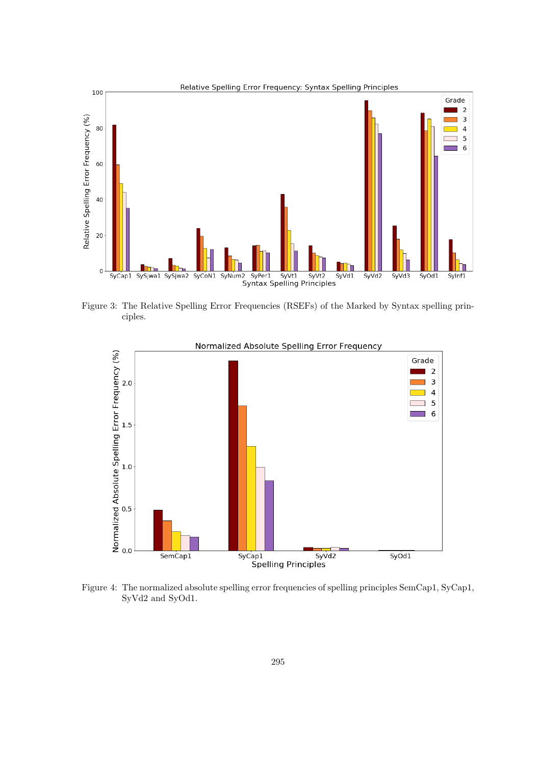

Figure 3: The Relative Spelling Error Frequencies (RSEFs) of the Marked by Syntax spelling principles.



Figure 4: The normalized absolute spelling error frequencies of spelling principles SemCap1, SyCap1, SyVd2 and SyOd1.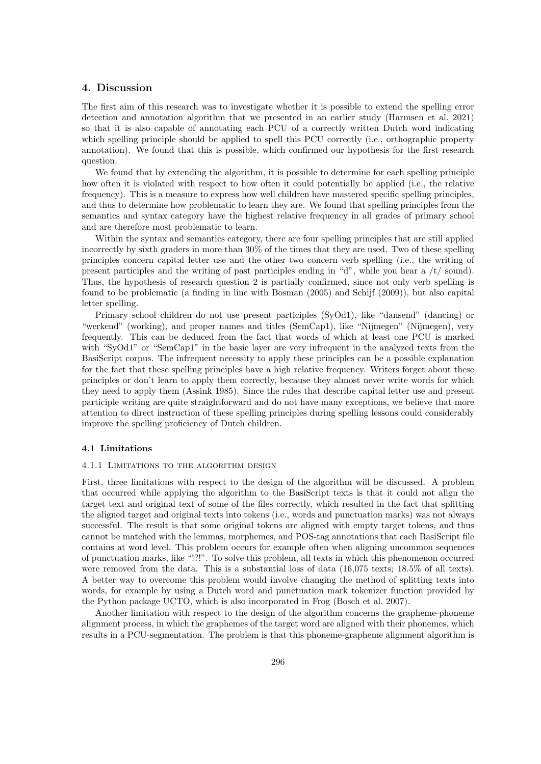## 4. Discussion

The first aim of this research was to investigate whether it is possible to extend the spelling error detection and annotation algorithm that we presented in an earlier study (Harmsen et al. 2021) so that it is also capable of annotating each PCU of a correctly written Dutch word indicating which spelling principle should be applied to spell this PCU correctly (i.e., orthographic property annotation). We found that this is possible, which confirmed our hypothesis for the first research question.

We found that by extending the algorithm, it is possible to determine for each spelling principle how often it is violated with respect to how often it could potentially be applied (i.e., the relative frequency). This is a measure to express how well children have mastered specific spelling principles, and thus to determine how problematic to learn they are. We found that spelling principles from the semantics and syntax category have the highest relative frequency in all grades of primary school and are therefore most problematic to learn.

Within the syntax and semantics category, there are four spelling principles that are still applied incorrectly by sixth graders in more than 30% of the times that they are used. Two of these spelling principles concern capital letter use and the other two concern verb spelling (i.e., the writing of present participles and the writing of past participles ending in "d", while you hear a  $/t$  sound). Thus, the hypothesis of research question 2 is partially confirmed, since not only verb spelling is found to be problematic (a finding in line with Bosman (2005) and Schijf (2009)), but also capital letter spelling.

Primary school children do not use present participles (SyOd1), like "dansend" (dancing) or "werkend" (working), and proper names and titles (SemCap1), like "Nijmegen" (Nijmegen), very frequently. This can be deduced from the fact that words of which at least one PCU is marked with "SyOd1" or "SemCap1" in the basic layer are very infrequent in the analyzed texts from the BasiScript corpus. The infrequent necessity to apply these principles can be a possible explanation for the fact that these spelling principles have a high relative frequency. Writers forget about these principles or don't learn to apply them correctly, because they almost never write words for which they need to apply them (Assink 1985). Since the rules that describe capital letter use and present participle writing are quite straightforward and do not have many exceptions, we believe that more attention to direct instruction of these spelling principles during spelling lessons could considerably improve the spelling proficiency of Dutch children.

#### 4.1 Limitations

#### 4.1.1 Limitations to the algorithm design

First, three limitations with respect to the design of the algorithm will be discussed. A problem that occurred while applying the algorithm to the BasiScript texts is that it could not align the target text and original text of some of the files correctly, which resulted in the fact that splitting the aligned target and original texts into tokens (i.e., words and punctuation marks) was not always successful. The result is that some original tokens are aligned with empty target tokens, and thus cannot be matched with the lemmas, morphemes, and POS-tag annotations that each BasiScript file contains at word level. This problem occurs for example often when aligning uncommon sequences of punctuation marks, like "!?!". To solve this problem, all texts in which this phenomenon occurred were removed from the data. This is a substantial loss of data  $(16,075 \text{ texts}; 18.5\% \text{ of all texts}).$ A better way to overcome this problem would involve changing the method of splitting texts into words, for example by using a Dutch word and punctuation mark tokenizer function provided by the Python package UCTO, which is also incorporated in Frog (Bosch et al. 2007).

Another limitation with respect to the design of the algorithm concerns the grapheme-phoneme alignment process, in which the graphemes of the target word are aligned with their phonemes, which results in a PCU-segmentation. The problem is that this phoneme-grapheme alignment algorithm is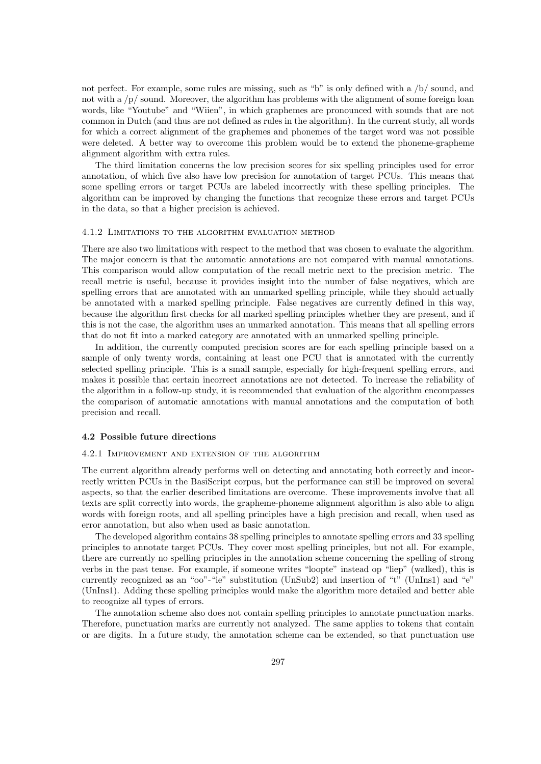not perfect. For example, some rules are missing, such as "b" is only defined with a /b/ sound, and not with a /p/ sound. Moreover, the algorithm has problems with the alignment of some foreign loan words, like "Youtube" and "Wiien", in which graphemes are pronounced with sounds that are not common in Dutch (and thus are not defined as rules in the algorithm). In the current study, all words for which a correct alignment of the graphemes and phonemes of the target word was not possible were deleted. A better way to overcome this problem would be to extend the phoneme-grapheme alignment algorithm with extra rules.

The third limitation concerns the low precision scores for six spelling principles used for error annotation, of which five also have low precision for annotation of target PCUs. This means that some spelling errors or target PCUs are labeled incorrectly with these spelling principles. The algorithm can be improved by changing the functions that recognize these errors and target PCUs in the data, so that a higher precision is achieved.

### 4.1.2 Limitations to the algorithm evaluation method

There are also two limitations with respect to the method that was chosen to evaluate the algorithm. The major concern is that the automatic annotations are not compared with manual annotations. This comparison would allow computation of the recall metric next to the precision metric. The recall metric is useful, because it provides insight into the number of false negatives, which are spelling errors that are annotated with an unmarked spelling principle, while they should actually be annotated with a marked spelling principle. False negatives are currently defined in this way, because the algorithm first checks for all marked spelling principles whether they are present, and if this is not the case, the algorithm uses an unmarked annotation. This means that all spelling errors that do not fit into a marked category are annotated with an unmarked spelling principle.

In addition, the currently computed precision scores are for each spelling principle based on a sample of only twenty words, containing at least one PCU that is annotated with the currently selected spelling principle. This is a small sample, especially for high-frequent spelling errors, and makes it possible that certain incorrect annotations are not detected. To increase the reliability of the algorithm in a follow-up study, it is recommended that evaluation of the algorithm encompasses the comparison of automatic annotations with manual annotations and the computation of both precision and recall.

#### 4.2 Possible future directions

### 4.2.1 Improvement and extension of the algorithm

The current algorithm already performs well on detecting and annotating both correctly and incorrectly written PCUs in the BasiScript corpus, but the performance can still be improved on several aspects, so that the earlier described limitations are overcome. These improvements involve that all texts are split correctly into words, the grapheme-phoneme alignment algorithm is also able to align words with foreign roots, and all spelling principles have a high precision and recall, when used as error annotation, but also when used as basic annotation.

The developed algorithm contains 38 spelling principles to annotate spelling errors and 33 spelling principles to annotate target PCUs. They cover most spelling principles, but not all. For example, there are currently no spelling principles in the annotation scheme concerning the spelling of strong verbs in the past tense. For example, if someone writes "loopte" instead op "liep" (walked), this is currently recognized as an "oo"-"ie" substitution (UnSub2) and insertion of "t" (UnIns1) and "e" (UnIns1). Adding these spelling principles would make the algorithm more detailed and better able to recognize all types of errors.

The annotation scheme also does not contain spelling principles to annotate punctuation marks. Therefore, punctuation marks are currently not analyzed. The same applies to tokens that contain or are digits. In a future study, the annotation scheme can be extended, so that punctuation use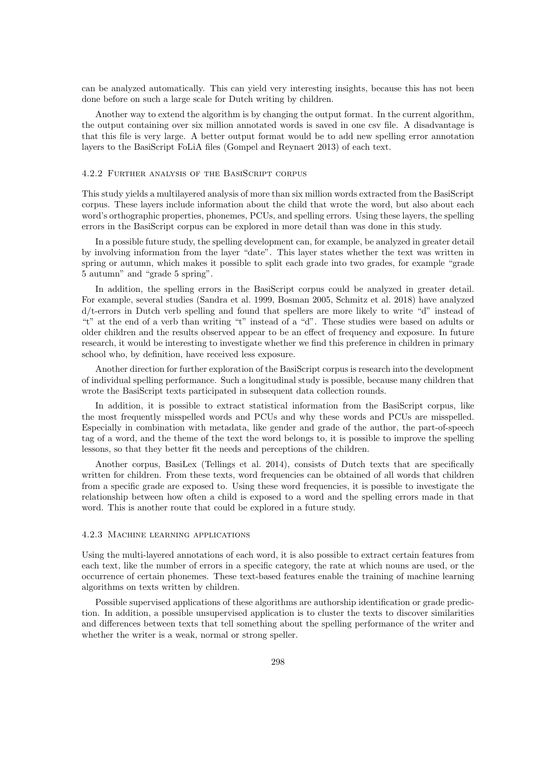can be analyzed automatically. This can yield very interesting insights, because this has not been done before on such a large scale for Dutch writing by children.

Another way to extend the algorithm is by changing the output format. In the current algorithm, the output containing over six million annotated words is saved in one csv file. A disadvantage is that this file is very large. A better output format would be to add new spelling error annotation layers to the BasiScript FoLiA files (Gompel and Reynaert 2013) of each text.

### 4.2.2 Further analysis of the BasiScript corpus

This study yields a multilayered analysis of more than six million words extracted from the BasiScript corpus. These layers include information about the child that wrote the word, but also about each word's orthographic properties, phonemes, PCUs, and spelling errors. Using these layers, the spelling errors in the BasiScript corpus can be explored in more detail than was done in this study.

In a possible future study, the spelling development can, for example, be analyzed in greater detail by involving information from the layer "date". This layer states whether the text was written in spring or autumn, which makes it possible to split each grade into two grades, for example "grade 5 autumn" and "grade 5 spring".

In addition, the spelling errors in the BasiScript corpus could be analyzed in greater detail. For example, several studies (Sandra et al. 1999, Bosman 2005, Schmitz et al. 2018) have analyzed d/t-errors in Dutch verb spelling and found that spellers are more likely to write "d" instead of "t" at the end of a verb than writing "t" instead of a "d". These studies were based on adults or older children and the results observed appear to be an effect of frequency and exposure. In future research, it would be interesting to investigate whether we find this preference in children in primary school who, by definition, have received less exposure.

Another direction for further exploration of the BasiScript corpus is research into the development of individual spelling performance. Such a longitudinal study is possible, because many children that wrote the BasiScript texts participated in subsequent data collection rounds.

In addition, it is possible to extract statistical information from the BasiScript corpus, like the most frequently misspelled words and PCUs and why these words and PCUs are misspelled. Especially in combination with metadata, like gender and grade of the author, the part-of-speech tag of a word, and the theme of the text the word belongs to, it is possible to improve the spelling lessons, so that they better fit the needs and perceptions of the children.

Another corpus, BasiLex (Tellings et al. 2014), consists of Dutch texts that are specifically written for children. From these texts, word frequencies can be obtained of all words that children from a specific grade are exposed to. Using these word frequencies, it is possible to investigate the relationship between how often a child is exposed to a word and the spelling errors made in that word. This is another route that could be explored in a future study.

### 4.2.3 Machine learning applications

Using the multi-layered annotations of each word, it is also possible to extract certain features from each text, like the number of errors in a specific category, the rate at which nouns are used, or the occurrence of certain phonemes. These text-based features enable the training of machine learning algorithms on texts written by children.

Possible supervised applications of these algorithms are authorship identification or grade prediction. In addition, a possible unsupervised application is to cluster the texts to discover similarities and differences between texts that tell something about the spelling performance of the writer and whether the writer is a weak, normal or strong speller.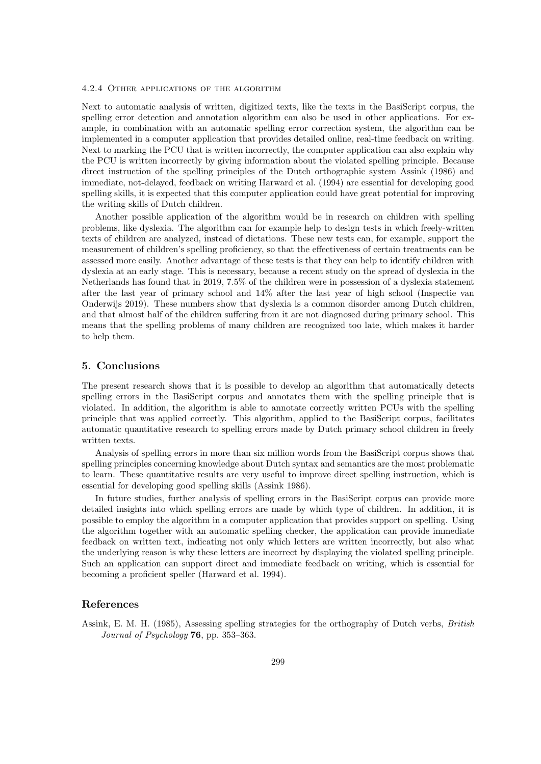#### 4.2.4 Other applications of the algorithm

Next to automatic analysis of written, digitized texts, like the texts in the BasiScript corpus, the spelling error detection and annotation algorithm can also be used in other applications. For example, in combination with an automatic spelling error correction system, the algorithm can be implemented in a computer application that provides detailed online, real-time feedback on writing. Next to marking the PCU that is written incorrectly, the computer application can also explain why the PCU is written incorrectly by giving information about the violated spelling principle. Because direct instruction of the spelling principles of the Dutch orthographic system Assink (1986) and immediate, not-delayed, feedback on writing Harward et al. (1994) are essential for developing good spelling skills, it is expected that this computer application could have great potential for improving the writing skills of Dutch children.

Another possible application of the algorithm would be in research on children with spelling problems, like dyslexia. The algorithm can for example help to design tests in which freely-written texts of children are analyzed, instead of dictations. These new tests can, for example, support the measurement of children's spelling proficiency, so that the effectiveness of certain treatments can be assessed more easily. Another advantage of these tests is that they can help to identify children with dyslexia at an early stage. This is necessary, because a recent study on the spread of dyslexia in the Netherlands has found that in 2019, 7.5% of the children were in possession of a dyslexia statement after the last year of primary school and 14% after the last year of high school (Inspectie van Onderwijs 2019). These numbers show that dyslexia is a common disorder among Dutch children, and that almost half of the children suffering from it are not diagnosed during primary school. This means that the spelling problems of many children are recognized too late, which makes it harder to help them.

### 5. Conclusions

The present research shows that it is possible to develop an algorithm that automatically detects spelling errors in the BasiScript corpus and annotates them with the spelling principle that is violated. In addition, the algorithm is able to annotate correctly written PCUs with the spelling principle that was applied correctly. This algorithm, applied to the BasiScript corpus, facilitates automatic quantitative research to spelling errors made by Dutch primary school children in freely written texts.

Analysis of spelling errors in more than six million words from the BasiScript corpus shows that spelling principles concerning knowledge about Dutch syntax and semantics are the most problematic to learn. These quantitative results are very useful to improve direct spelling instruction, which is essential for developing good spelling skills (Assink 1986).

In future studies, further analysis of spelling errors in the BasiScript corpus can provide more detailed insights into which spelling errors are made by which type of children. In addition, it is possible to employ the algorithm in a computer application that provides support on spelling. Using the algorithm together with an automatic spelling checker, the application can provide immediate feedback on written text, indicating not only which letters are written incorrectly, but also what the underlying reason is why these letters are incorrect by displaying the violated spelling principle. Such an application can support direct and immediate feedback on writing, which is essential for becoming a proficient speller (Harward et al. 1994).

### References

Assink, E. M. H. (1985), Assessing spelling strategies for the orthography of Dutch verbs, British Journal of Psychology 76, pp. 353–363.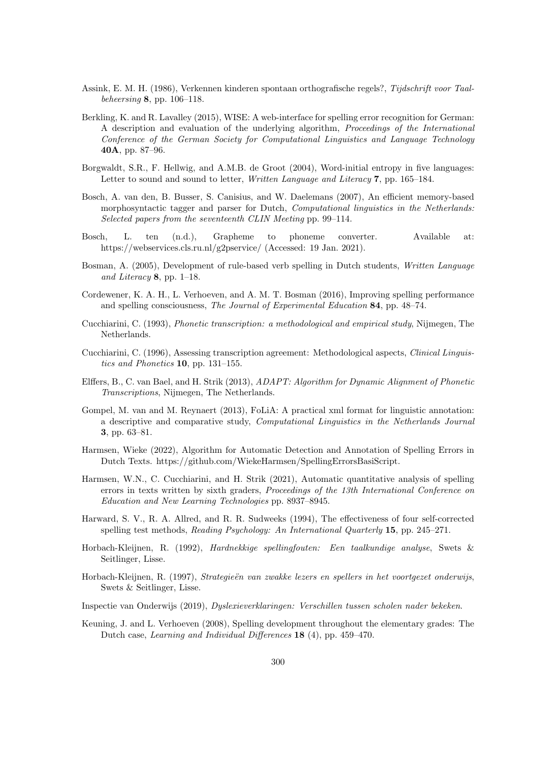- Assink, E. M. H. (1986), Verkennen kinderen spontaan orthografische regels?, Tijdschrift voor Taalbeheersing 8, pp. 106–118.
- Berkling, K. and R. Lavalley (2015), WISE: A web-interface for spelling error recognition for German: A description and evaluation of the underlying algorithm, Proceedings of the International Conference of the German Society for Computational Linguistics and Language Technology 40A, pp. 87–96.
- Borgwaldt, S.R., F. Hellwig, and A.M.B. de Groot (2004), Word-initial entropy in five languages: Letter to sound and sound to letter, *Written Language and Literacy* 7, pp. 165–184.
- Bosch, A. van den, B. Busser, S. Canisius, and W. Daelemans (2007), An efficient memory-based morphosyntactic tagger and parser for Dutch, *Computational linguistics in the Netherlands*: Selected papers from the seventeenth CLIN Meeting pp. 99–114.
- Bosch, L. ten (n.d.), Grapheme to phoneme converter. Available at: https://webservices.cls.ru.nl/g2pservice/ (Accessed: 19 Jan. 2021).
- Bosman, A. (2005), Development of rule-based verb spelling in Dutch students, Written Language and Literacy 8, pp. 1–18.
- Cordewener, K. A. H., L. Verhoeven, and A. M. T. Bosman (2016), Improving spelling performance and spelling consciousness, The Journal of Experimental Education 84, pp. 48–74.
- Cucchiarini, C. (1993), Phonetic transcription: a methodological and empirical study, Nijmegen, The Netherlands.
- Cucchiarini, C. (1996), Assessing transcription agreement: Methodological aspects, Clinical Linguistics and Phonetics 10, pp. 131–155.
- Elffers, B., C. van Bael, and H. Strik (2013), ADAPT: Algorithm for Dynamic Alignment of Phonetic Transcriptions, Nijmegen, The Netherlands.
- Gompel, M. van and M. Reynaert (2013), FoLiA: A practical xml format for linguistic annotation: a descriptive and comparative study, Computational Linguistics in the Netherlands Journal 3, pp. 63–81.
- Harmsen, Wieke (2022), Algorithm for Automatic Detection and Annotation of Spelling Errors in Dutch Texts. https://github.com/WiekeHarmsen/SpellingErrorsBasiScript.
- Harmsen, W.N., C. Cucchiarini, and H. Strik (2021), Automatic quantitative analysis of spelling errors in texts written by sixth graders, Proceedings of the 13th International Conference on Education and New Learning Technologies pp. 8937–8945.
- Harward, S. V., R. A. Allred, and R. R. Sudweeks (1994), The effectiveness of four self-corrected spelling test methods, Reading Psychology: An International Quarterly 15, pp. 245–271.
- Horbach-Kleijnen, R. (1992), Hardnekkige spellingfouten: Een taalkundige analyse, Swets & Seitlinger, Lisse.
- Horbach-Kleijnen, R. (1997), Strategieën van zwakke lezers en spellers in het voortgezet onderwijs, Swets & Seitlinger, Lisse.
- Inspectie van Onderwijs (2019), Dyslexieverklaringen: Verschillen tussen scholen nader bekeken.
- Keuning, J. and L. Verhoeven (2008), Spelling development throughout the elementary grades: The Dutch case, Learning and Individual Differences 18 (4), pp. 459–470.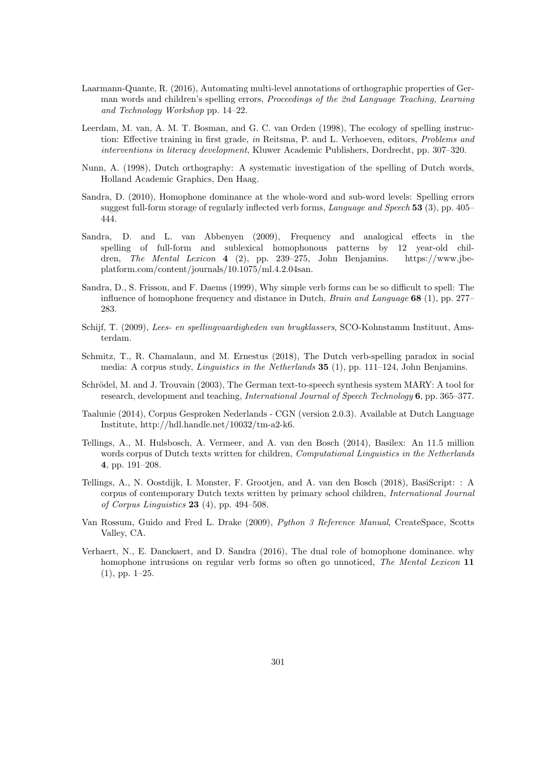- Laarmann-Quante, R. (2016), Automating multi-level annotations of orthographic properties of German words and children's spelling errors, Proceedings of the 2nd Language Teaching, Learning and Technology Workshop pp. 14–22.
- Leerdam, M. van, A. M. T. Bosman, and G. C. van Orden (1998), The ecology of spelling instruction: Effective training in first grade, in Reitsma, P. and L. Verhoeven, editors, Problems and interventions in literacy development, Kluwer Academic Publishers, Dordrecht, pp. 307–320.
- Nunn, A. (1998), Dutch orthography: A systematic investigation of the spelling of Dutch words, Holland Academic Graphics, Den Haag.
- Sandra, D. (2010), Homophone dominance at the whole-word and sub-word levels: Spelling errors suggest full-form storage of regularly inflected verb forms, Language and Speech 53 (3), pp. 405– 444.
- Sandra, D. and L. van Abbenyen (2009), Frequency and analogical effects in the spelling of full-form and sublexical homophonous patterns by 12 year-old children, The Mental Lexicon 4 (2), pp. 239–275, John Benjamins. https://www.jbeplatform.com/content/journals/10.1075/ml.4.2.04san.
- Sandra, D., S. Frisson, and F. Daems (1999), Why simple verb forms can be so difficult to spell: The influence of homophone frequency and distance in Dutch, *Brain and Language* 68 (1), pp. 277– 283.
- Schijf, T. (2009), Lees- en spellingvaardigheden van brugklassers, SCO-Kohnstamm Instituut, Amsterdam.
- Schmitz, T., R. Chamalaun, and M. Ernestus (2018), The Dutch verb-spelling paradox in social media: A corpus study, *Linguistics in the Netherlands* **35** (1), pp. 111–124, John Benjamins.
- Schrödel, M. and J. Trouvain (2003), The German text-to-speech synthesis system MARY: A tool for research, development and teaching, *International Journal of Speech Technology* 6, pp. 365–377.
- Taalunie (2014), Corpus Gesproken Nederlands CGN (version 2.0.3). Available at Dutch Language Institute, http://hdl.handle.net/10032/tm-a2-k6.
- Tellings, A., M. Hulsbosch, A. Vermeer, and A. van den Bosch (2014), Basilex: An 11.5 million words corpus of Dutch texts written for children, *Computational Linguistics in the Netherlands* 4, pp. 191–208.
- Tellings, A., N. Oostdijk, I. Monster, F. Grootjen, and A. van den Bosch (2018), BasiScript: : A corpus of contemporary Dutch texts written by primary school children, International Journal of Corpus Linguistics 23 (4), pp. 494–508.
- Van Rossum, Guido and Fred L. Drake (2009), Python 3 Reference Manual, CreateSpace, Scotts Valley, CA.
- Verhaert, N., E. Danckaert, and D. Sandra (2016), The dual role of homophone dominance. why homophone intrusions on regular verb forms so often go unnoticed, The Mental Lexicon 11 (1), pp. 1–25.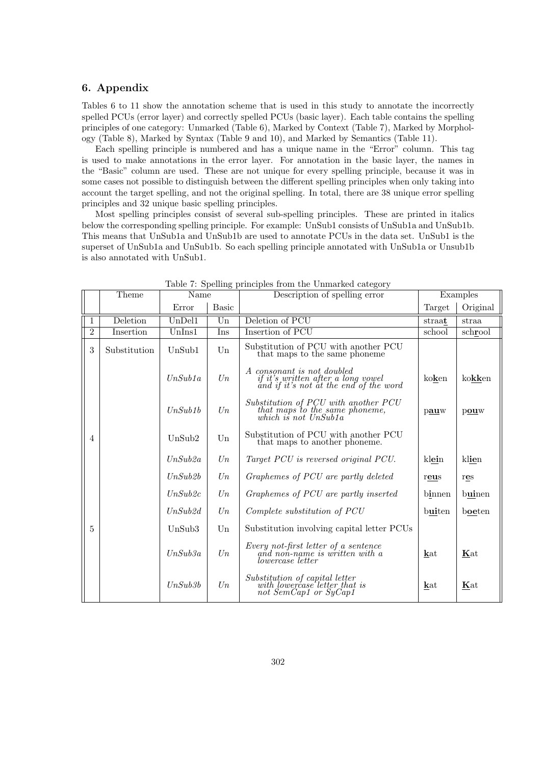# 6. Appendix

Tables 6 to 11 show the annotation scheme that is used in this study to annotate the incorrectly spelled PCUs (error layer) and correctly spelled PCUs (basic layer). Each table contains the spelling principles of one category: Unmarked (Table 6), Marked by Context (Table 7), Marked by Morphology (Table 8), Marked by Syntax (Table 9 and 10), and Marked by Semantics (Table 11).

Each spelling principle is numbered and has a unique name in the "Error" column. This tag is used to make annotations in the error layer. For annotation in the basic layer, the names in the "Basic" column are used. These are not unique for every spelling principle, because it was in some cases not possible to distinguish between the different spelling principles when only taking into account the target spelling, and not the original spelling. In total, there are 38 unique error spelling principles and 32 unique basic spelling principles.

Most spelling principles consist of several sub-spelling principles. These are printed in italics below the corresponding spelling principle. For example: UnSub1 consists of UnSub1a and UnSub1b. This means that UnSub1a and UnSub1b are used to annotate PCUs in the data set. UnSub1 is the superset of UnSub1a and UnSub1b. So each spelling principle annotated with UnSub1a or Unsub1b is also annotated with UnSub1.

|                | Theme        | Name    |              | Description of spelling error                                                                                            |        | Examples |
|----------------|--------------|---------|--------------|--------------------------------------------------------------------------------------------------------------------------|--------|----------|
|                |              | Error   | <b>Basic</b> |                                                                                                                          | Target | Original |
| 1              | Deletion     | UnDel1  | Un           | Deletion of PCU                                                                                                          | straat | straa    |
| $\overline{2}$ | Insertion    | UnIns1  | Ins          | Insertion of PCU                                                                                                         | school | schrool  |
| 3              | Substitution | UnSub1  | Un           | Substitution of PCU with another PCU<br>that maps to the same phoneme                                                    |        |          |
|                |              | UnSub1a | $U_n$        | A consonant is not doubled<br><i>if it's written after a long vowel</i><br><i>and if it's not at the end of the word</i> | koken  | kokken   |
|                |              | UnSub1b | $U_n$        | $Substitution$ of $PCU$ with another $PCU$<br>that maps to the same phoneme,<br>which is not UnSubla                     | pauw   | pouw     |
| $\overline{4}$ |              | UnSub2  | Un           | Substitution of PCU with another PCU<br>that maps to another phoneme.                                                    |        |          |
|                |              | UnSub2a | $U_n$        | Target PCU is reversed original PCU.                                                                                     | klein  | klien    |
|                |              | UnSub2b | $U_n$        | Graphemes of PCU are partly deleted                                                                                      | reus   | res      |
|                |              | UnSub2c | $U_n$        | Graphemes of PCU are partly inserted                                                                                     | binnen | buinen   |
|                |              | UnSub2d | $U_n$        | Complete substitution of PCU                                                                                             | buiten | boeten   |
| 5              |              | UnSub3  | Un           | Substitution involving capital letter PCUs                                                                               |        |          |
|                |              | UnSub3a | $U_n$        | $Every not-first letter of a sentence and non-name is written with a$<br><i>lowercase letter</i>                         | kat    | Kat      |
|                |              | UnSub3b | $U_n$        | Substitution of capital letter<br>with lowercase letter that is<br>not SemCap1 or SyCap1                                 | kat    | Kat      |

Table 7: Spelling principles from the Unmarked category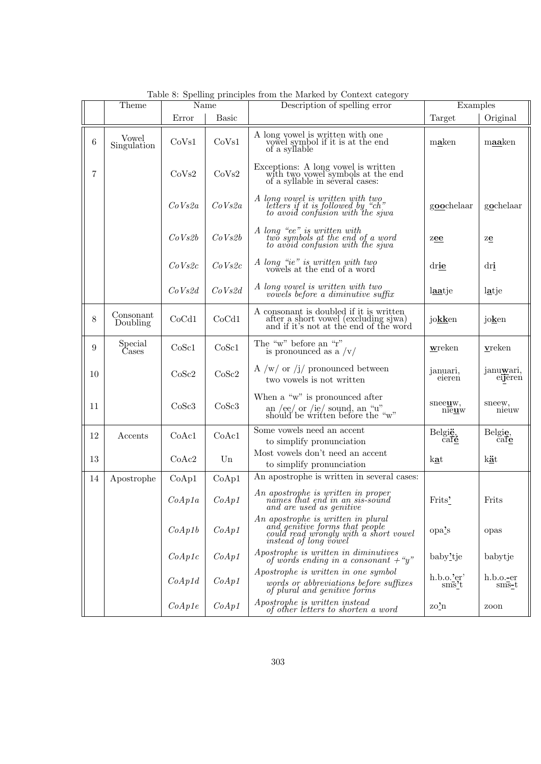|    | Theme                 | Name   |              | Laste of spennig principles from the market sy coment eategory<br>Description of spelling error                                                                                                                                                     | Examples                         |                               |
|----|-----------------------|--------|--------------|-----------------------------------------------------------------------------------------------------------------------------------------------------------------------------------------------------------------------------------------------------|----------------------------------|-------------------------------|
|    |                       | Error  | <b>Basic</b> |                                                                                                                                                                                                                                                     | Target                           | Original                      |
| 6  | Vowel<br>Singulation  | CoVs1  | CoVs1        | A long vowel is written with one<br>vowel symbol if it is at the end<br>of a syllable                                                                                                                                                               | maken                            | maaken                        |
| 7  |                       | CoVs2  | CoVs2        | $\begin{minipage}{.4\linewidth} \textbf{Exceptions: A long vowel is written} \\ \textbf{with two vowel symbols at the end} \end{minipage}$<br>of a syllable in several cases:                                                                       |                                  |                               |
|    |                       | CoVs2a | CoVs2a       | A long vowel is written with two<br>letters if it is followed by "ch"<br>to avoid confusion with the sjwa                                                                                                                                           | goochelaar                       | gochelaar                     |
|    |                       | CoVs2b | CoVs2b       | $\begin{array}{c} A\ \, long \ \, \stackrel{a}{=}e^{\nu}\ \, is \,\, written \,\, with \\ two \,\, symbols \,\, at \,\, the \,\, end \,\, of \,\, a \,\, word \\ \, to \,\, avoid \,\, confusion \,\, with \,\, the \,\, given \,\, \\ \end{array}$ | zee                              | ze                            |
|    |                       | CoVs2c | CoVs2c       | A long "ie" is written with two<br>vowels at the end of a word                                                                                                                                                                                      | drie                             | dri                           |
|    |                       | CoVs2d | CoVs2d       | $A$ long vowel is written with two<br>vowels before a diminutive suffix                                                                                                                                                                             | laatje                           | latje                         |
| 8  | Consonant<br>Doubling | CoCd1  | CoCd1        | A consonant is doubled if it is written after a short vowel (excluding sjwa) and if it's not at the end of the word                                                                                                                                 | jokken                           | joken                         |
| 9  | Special<br>Cases      | CoSc1  | CoSc1        | The "w" before an "r"<br>is pronounced as a $\sqrt{v}$                                                                                                                                                                                              | wreken                           | vreken                        |
| 10 |                       | CoSc2  | CoSc2        | A /w/ or /j/ pronounced between<br>two vowels is not written                                                                                                                                                                                        | januari,<br>eieren               | janu <u>w</u> ari,<br>eijeren |
| 11 |                       | CoSc3  | CoSc3        | When a "w" is pronounced after<br>an /ee/ or /ie/ sound, an "u" should be written before the "w"                                                                                                                                                    | sneeuw,<br>nieuw                 | sneew,<br>nieuw               |
| 12 | Accents               | CoAc1  | CoAc1        | Some vowels need an accent<br>to simplify pronunciation                                                                                                                                                                                             | België,<br>$\vec{c}$ afé         | Belgie,<br>$\bar{c}$ afe      |
| 13 |                       | CoAc2  | Un           | Most vowels don't need an accent<br>to simplify pronunciation                                                                                                                                                                                       | kat                              | kät                           |
| 14 | Apostrophe            | CoAp1  | CoAp1        | An apostrophe is written in several cases:                                                                                                                                                                                                          |                                  |                               |
|    |                       | CoAp1a | CoAp1        | An apostrophe is written in proper<br>names that end in an sis-sound<br>and are used as genitive                                                                                                                                                    | Frits'                           | Frits                         |
|    |                       | CoAp1b | CoAp1        | An apostrophe is written in plural<br>and genitive forms that people<br>could read wrongly with a short vowel<br>instead of long vowel                                                                                                              | opa's                            | opas                          |
|    |                       | CoAp1c | CoAp1        | Apostrophe is written in diminutives<br>of words ending in a consonant $+$ "y"                                                                                                                                                                      | baby'tje                         | babytje                       |
|    |                       | CoAp1d | CoAp1        | Apostrophe is written in one symbol                                                                                                                                                                                                                 | $h.b.o.$ <sup>2</sup> $er'$      | $h.b.o.-er$                   |
|    |                       |        |              | words or abbreviations before suffixes<br>of plural and genitive forms                                                                                                                                                                              | sms't                            | $sms-t$                       |
|    |                       | CoAp1e | CoAp1        | Apostrophe is written instead<br>of other letters to shorten a word                                                                                                                                                                                 | $\mathrm{zo}^{\prime}\mathrm{n}$ | zoon                          |

Table 8: Spelling principles from the Marked by Context category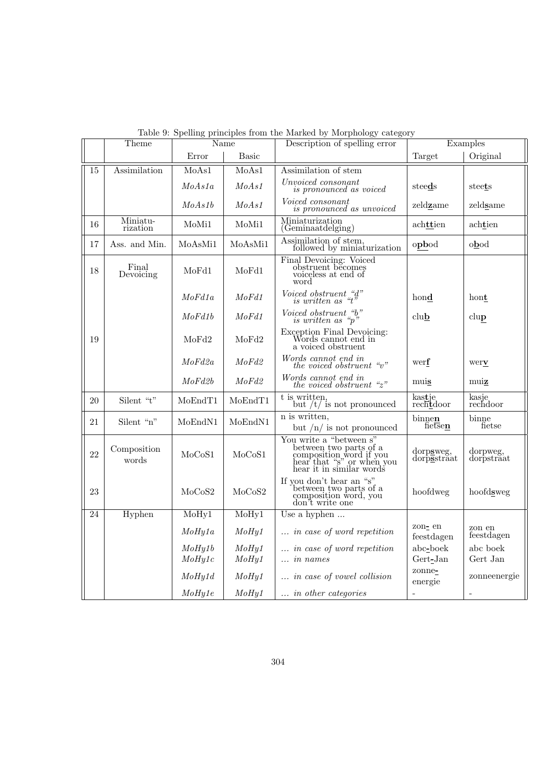|    | Theme                |                   | Name           | روف<br>Description of spelling error                                                                                                                            |                          | Examples               |  |
|----|----------------------|-------------------|----------------|-----------------------------------------------------------------------------------------------------------------------------------------------------------------|--------------------------|------------------------|--|
|    |                      | Error             | <b>Basic</b>   |                                                                                                                                                                 | Target                   | Original               |  |
| 15 | Assimilation         | MoAs1             | MoAs1          | Assimilation of stem                                                                                                                                            |                          |                        |  |
|    |                      | $\textit{MoAs1a}$ | $\it{MoAs1}$   | Unvoiced consonant<br>is pronounced as voiced                                                                                                                   | steeds                   | steets                 |  |
|    |                      | $\mathit{MoAs1b}$ | MoAs1          | Voiced consonant<br>is pronounced as unvoiced                                                                                                                   | zeldzame                 | zeldsame               |  |
| 16 | Miniatu-<br>rization | MoMi1             | MoMi1          | Miniaturization<br>(Geminaatdelging)                                                                                                                            | achttien                 | achtien                |  |
| 17 | Ass. and Min.        | MoAsMi1           | MoAsMi1        | Assimilation of stem,<br>followed by miniaturization                                                                                                            | opbod                    | obod                   |  |
| 18 | Final<br>Devoicing   | MoFd1             | MoFd1          | Final Devoicing: Voiced<br>obstruent becomes<br>voiceless at end of<br>word                                                                                     |                          |                        |  |
|    |                      | MoFd1a            | MoFd1          | $Voiced$ obstruent "d"<br>is written as "t"                                                                                                                     | hond                     | hont                   |  |
|    |                      | $\emph{MoFd1b}$   | MoFd1          | Voiced obstruent "b"<br>is written as " $p$ "                                                                                                                   | club                     | clup                   |  |
| 19 |                      | MoFd2             | MoFd2          | Exception Final Devoicing:<br>Words cannot end in<br>a voiced obstruent                                                                                         |                          |                        |  |
|    |                      | $\emph{MoFd2a}$   | MoFd2          | Words cannot end in<br>the voiced obstruent " $v$ "                                                                                                             | werf                     | werv                   |  |
|    |                      | MoFd2b            | MoFd2          | Words cannot end in<br>the voiced obstruent " $z$ "                                                                                                             | muis                     | muiz                   |  |
| 20 | Silent "t"           | MoEndT1           | MoEndT1        | t is written,<br>but $/t/$ is not pronounced                                                                                                                    | kastje<br>rechtdoor      | kasje<br>rechdoor      |  |
| 21 | Silent "n"           | MoEndN1           | MoEndN1        | n is written.<br>but $/n/$ is not pronounced                                                                                                                    | binnen<br>fietsen        | binne<br>fietse        |  |
| 22 | Composition<br>words | MoCoS1            | MoCoS1         | You write a "between s"<br>between two parts of a<br>composition word if you<br>hear that "s" or when you<br>hear it in similar words                           | dorpsweg,<br>dorpsstraat | dorpweg,<br>dorpstraat |  |
| 23 |                      | MoCoS2            | MoCoS2         | $\begin{minipage}{.4\linewidth} \textbf{If you don't hear an ``s''} \\ \textbf{between two parts of a composition word, you} \end{minipage}$<br>don't write one | hoofdweg                 | hoofdsweg              |  |
| 24 | Hyphen               | MoHy1             | MoHy1          | Use a hyphen                                                                                                                                                    |                          |                        |  |
|    |                      | MoHy1a            | MoHy1          | $\ldots$ in case of word repetition                                                                                                                             | zon- en<br>feestdagen    | zon en<br>feestdagen   |  |
|    |                      | MoHy1b<br>MoHy1c  | MoHy1<br>MoHy1 | $\ldots$ in case of word repetition<br>$\ldots$ in names                                                                                                        | abc-boek<br>$Gert-Jan$   | abc boek<br>Gert Jan   |  |
|    |                      | Mofly1d           | MoHy1          | in case of vowel collision                                                                                                                                      | zonne-<br>energie        | zonneenergie           |  |
|    |                      | MoHy1e            | MoHy1          | $\ldots$ in other categories                                                                                                                                    | $\overline{\phantom{0}}$ |                        |  |

| Table 9: Spelling principles from the Marked by Morphology category |  |  |  |
|---------------------------------------------------------------------|--|--|--|
|---------------------------------------------------------------------|--|--|--|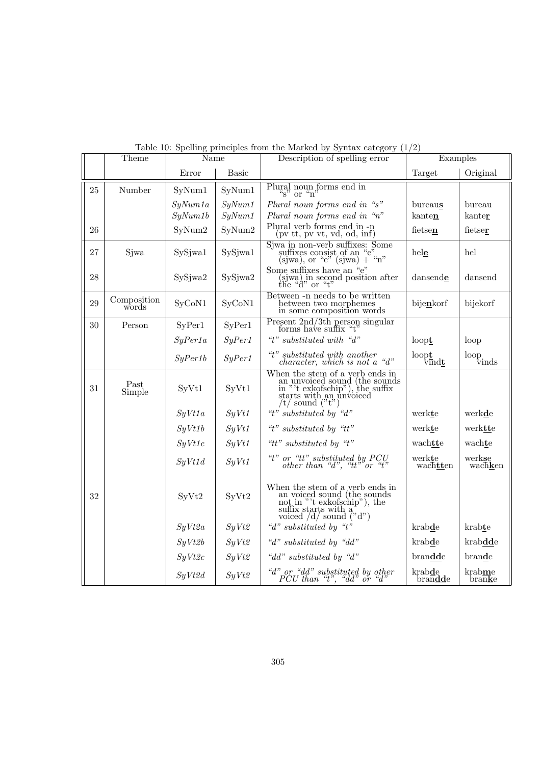|        | Theme                | Name    |              | Description of spelling error                                                                                                                                                                                                       | Examples                                 |                                                          |
|--------|----------------------|---------|--------------|-------------------------------------------------------------------------------------------------------------------------------------------------------------------------------------------------------------------------------------|------------------------------------------|----------------------------------------------------------|
|        |                      | Error   | <b>Basic</b> |                                                                                                                                                                                                                                     | Target                                   | Original                                                 |
| 25     | Number               | SyNum1  | SyNum1       | Plural noun forms end in<br>$\sqrt[n]{s}$ or $\sqrt[n]{n}$                                                                                                                                                                          |                                          |                                                          |
|        |                      | SyNum1a | SyNum1       | Plural noun forms end in "s"                                                                                                                                                                                                        | bureaus                                  | bureau                                                   |
|        |                      | SyNum1b | SyNum1       | Plural noun forms end in "n"                                                                                                                                                                                                        | kanten                                   | kanter                                                   |
| 26     |                      | SyNum2  | SyNum2       | Plural verb forms end in -n<br>(pv tt, pv vt, vd, od, inf)                                                                                                                                                                          | fietsen                                  | fietser                                                  |
| 27     | Sjwa                 | SySjwa1 | SySjwa1      | Siwa in non-verb suffixes: Some<br>suffixes consist of an "e"<br>(sjwa), or "e" (sjwa) + "n"                                                                                                                                        | hele                                     | hel                                                      |
| $28\,$ |                      | SySjwa2 | SySjwa2      | Some suffixes have an "e"<br>(sjwa) in second position after<br>the "d" or "t"                                                                                                                                                      | dansende                                 | dansend                                                  |
| 29     | Composition<br>words | SyCoN1  | SyCoN1       | Between -n needs to be written<br>between two morphemes<br>in some composition words                                                                                                                                                | bijenkorf                                | bijekorf                                                 |
| $30\,$ | Person               | SyPer1  | SyPer1       | Present $2nd/3th$ person singular<br>forms have suffix "t"                                                                                                                                                                          |                                          |                                                          |
|        |                      | SyPer1a | SyPer1       | "t" substituted with "d"                                                                                                                                                                                                            | $loop$ <b>t</b>                          | loop                                                     |
|        |                      | SyPer1b | SyPer1       | $\label{eq:optimal} \begin{array}{c} \textit{``t''} \; substituted \; with \; another \; character, \; which \; is \; not \; a \; \; \textit{``d''} \end{array}$                                                                    | loopt<br>$\overline{\text{vindt}}$       | $\ensuremath{\operatorname{loop}}\xspace_{\text{vinds}}$ |
| 31     | Past<br>Simple       | SyVt1   | SyVt1        | When the stem of a verb ends in<br>an unvoiced sound (the sounds<br>in "'t exkofschip"), the suffix<br>starts with an unvoiced<br>$/t/$ sound ("t")                                                                                 |                                          |                                                          |
|        |                      | SyVt1a  | SyVt1        | "t" substituted by "d"                                                                                                                                                                                                              | werkte                                   | werkde                                                   |
|        |                      | SyVt1b  | SyVt1        | " $t$ " substituted by " $tt$ "                                                                                                                                                                                                     | werkte                                   | werktte                                                  |
|        |                      | SyVt1c  | SyVt1        | "tt" substituted by "t"                                                                                                                                                                                                             | wachtte                                  | wachte                                                   |
|        |                      | SyVt1d  | SyVt1        | $\label{eq:2} \begin{array}{c} \mbox{``t''}~or~~\mbox{``tt''}~substituted~by~PCU\\ other~than~\mbox{``d''},~~\mbox{``tt''}~or~~\mbox{``t''} \end{array}$                                                                            | werkte<br>wachtten                       | werkse<br>wachken                                        |
| 32     |                      | SyVt2   | SyVt2        | When the stem of a verb ends in an voiced sound (the sounds not in "t exkofschip"), the suffix starts with a voiced $\overline{\begin{pmatrix} d' \\ dd' \end{pmatrix}}$ sound $\overline{\begin{pmatrix} n' \\ d'' \end{pmatrix}}$ |                                          |                                                          |
|        |                      | SyVt2a  | SyVt2        | "d" substituted by "t"                                                                                                                                                                                                              | krabde                                   | krabte                                                   |
|        |                      | SyVt2b  | SyVt2        | " $d$ " substituted by " $dd$ "                                                                                                                                                                                                     | krabde                                   | krabdde                                                  |
|        |                      | SyVt2c  | SyVt2        | "dd" substituted by "d"                                                                                                                                                                                                             | brandde                                  | brande                                                   |
|        |                      | SyVt2d  | SyVt2        | $\label{eq:2} \begin{array}{c} \text{``d'' or ``dd'' substituted by other} \\ \text{PCU than ``t'', ``dd'' or ``d''} \end{array}$                                                                                                   | krabde<br>$bra{\overline{n}}$ <b>dde</b> | krabme<br>$bran\overline{a}$                             |

Table 10: Spelling principles from the Marked by Syntax category  $(1/2)$